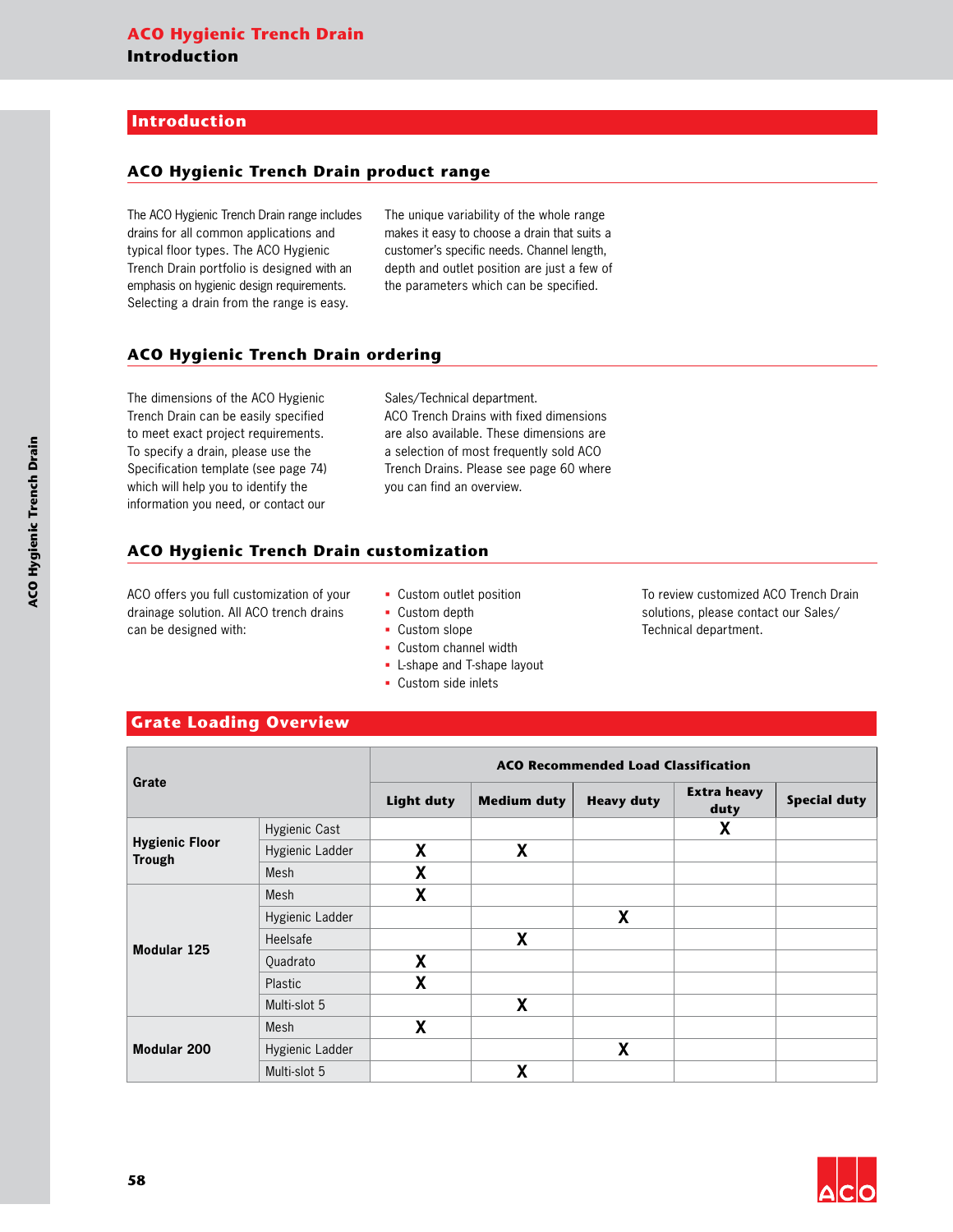#### **Introduction**

#### **ACO Hygienic Trench Drain product range**

The ACO Hygienic Trench Drain range includes drains for all common applications and typical floor types. The ACO Hygienic Trench Drain portfolio is designed with an emphasis on hygienic design requirements. Selecting a drain from the range is easy.

The unique variability of the whole range makes it easy to choose a drain that suits a customer's specific needs. Channel length, depth and outlet position are just a few of the parameters which can be specified.

### **ACO Hygienic Trench Drain ordering**

The dimensions of the ACO Hygienic Trench Drain can be easily specified to meet exact project requirements. To specify a drain, please use the Specification template (see page 74) which will help you to identify the information you need, or contact our

Sales/Technical department. ACO Trench Drains with fixed dimensions are also available. These dimensions are a selection of most frequently sold ACO Trench Drains. Please see page 60 where you can find an overview.

#### **ACO Hygienic Trench Drain customization**

ACO offers you full customization of your drainage solution. All ACO trench drains can be designed with:

- Custom outlet position
- Custom depth
- § Custom slope
- § Custom channel width
- § L-shape and T-shape layout
- § Custom side inlets

To review customized ACO Trench Drain solutions, please contact our Sales/ Technical department.

#### **Grate Loading Overview**

| Grate                                  |                 | <b>ACO Recommended Load Classification</b> |                    |                   |                            |                     |  |  |  |  |  |
|----------------------------------------|-----------------|--------------------------------------------|--------------------|-------------------|----------------------------|---------------------|--|--|--|--|--|
|                                        |                 | <b>Light duty</b>                          | <b>Medium duty</b> | <b>Heavy duty</b> | <b>Extra heavy</b><br>duty | <b>Special duty</b> |  |  |  |  |  |
|                                        | Hygienic Cast   |                                            |                    |                   | X                          |                     |  |  |  |  |  |
| <b>Hygienic Floor</b><br><b>Trough</b> | Hygienic Ladder | X                                          | X                  |                   |                            |                     |  |  |  |  |  |
|                                        | Mesh            | X                                          |                    |                   |                            |                     |  |  |  |  |  |
|                                        | Mesh            | X                                          |                    |                   |                            |                     |  |  |  |  |  |
|                                        | Hygienic Ladder |                                            |                    | X                 |                            |                     |  |  |  |  |  |
| Modular 125                            | Heelsafe        |                                            | X                  |                   |                            |                     |  |  |  |  |  |
|                                        | Quadrato        | X                                          |                    |                   |                            |                     |  |  |  |  |  |
|                                        | Plastic         | X                                          |                    |                   |                            |                     |  |  |  |  |  |
|                                        | Multi-slot 5    |                                            | X                  |                   |                            |                     |  |  |  |  |  |
|                                        | Mesh            | X                                          |                    |                   |                            |                     |  |  |  |  |  |
| Modular 200                            | Hygienic Ladder |                                            |                    | X                 |                            |                     |  |  |  |  |  |
|                                        | Multi-slot 5    |                                            | X                  |                   |                            |                     |  |  |  |  |  |

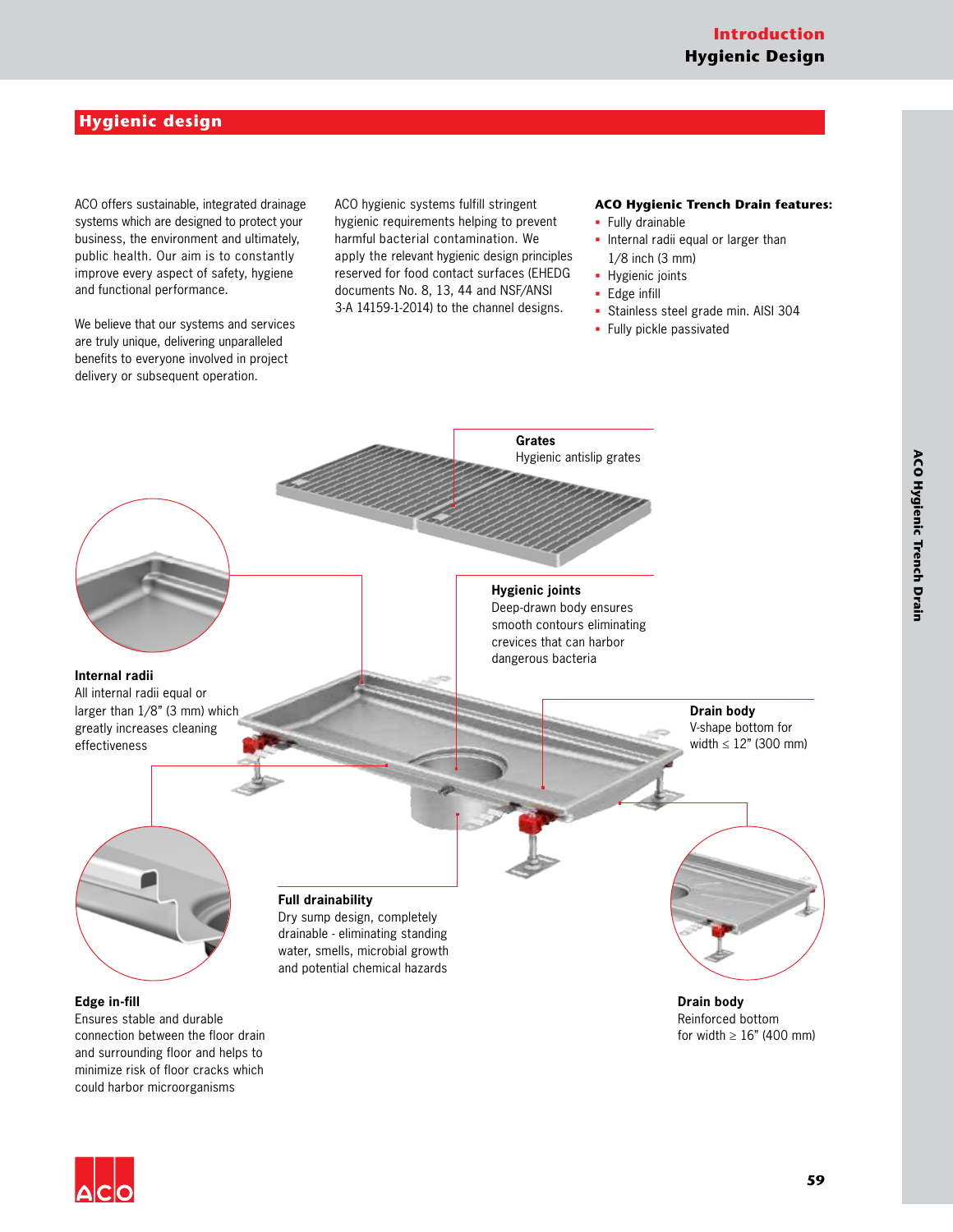# **Hygienic design**

ACO offers sustainable, integrated drainage systems which are designed to protect your business, the environment and ultimately, public health. Our aim is to constantly improve every aspect of safety, hygiene and functional performance.

We believe that our systems and services are truly unique, delivering unparalleled benefits to everyone involved in project delivery or subsequent operation.

ACO hygienic systems fulfill stringent hygienic requirements helping to prevent harmful bacterial contamination. We apply the relevant hygienic design principles reserved for food contact surfaces (EHEDG documents No. 8, 13, 44 and NSF/ANSI 3-A 14159-1-2014) to the channel designs.

#### **ACO Hygienic Trench Drain features:**

- § Fully drainable
- § Internal radii equal or larger than 1/8 inch (3 mm)
- § Hygienic joints
- § Edge infill
- § Stainless steel grade min. AISI 304
- § Fully pickle passivated



connection between the floor drain and surrounding floor and helps to minimize risk of floor cracks which could harbor microorganisms

for width  $\geq 16$ " (400 mm)

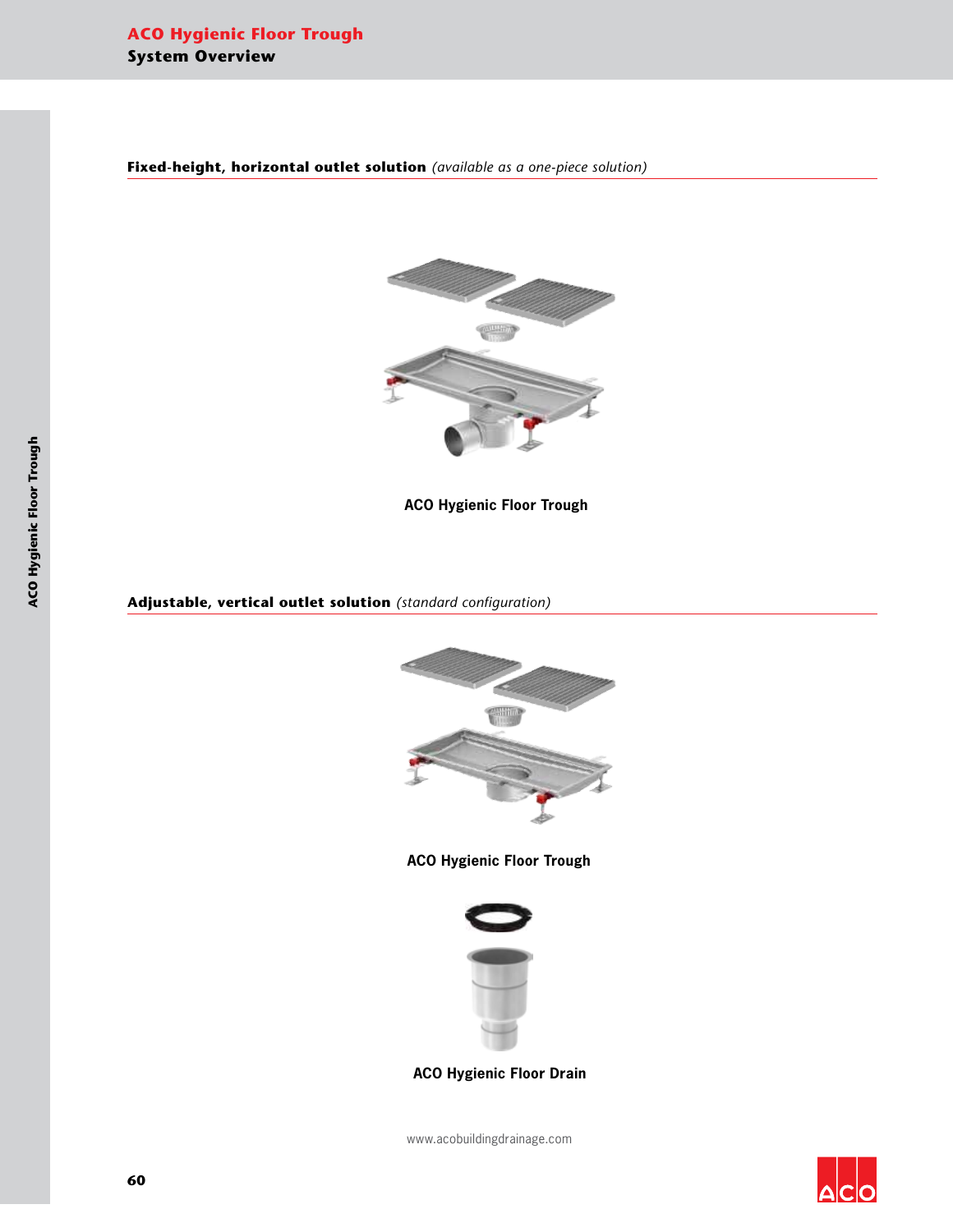**Fixed-height, horizontal outlet solution** *(available as a one-piece solution)*



**ACO Hygienic Floor Trough**

**Adjustable, vertical outlet solution** *(standard configuration)*



**ACO Hygienic Floor Trough**



**ACO Hygienic Floor Drain**

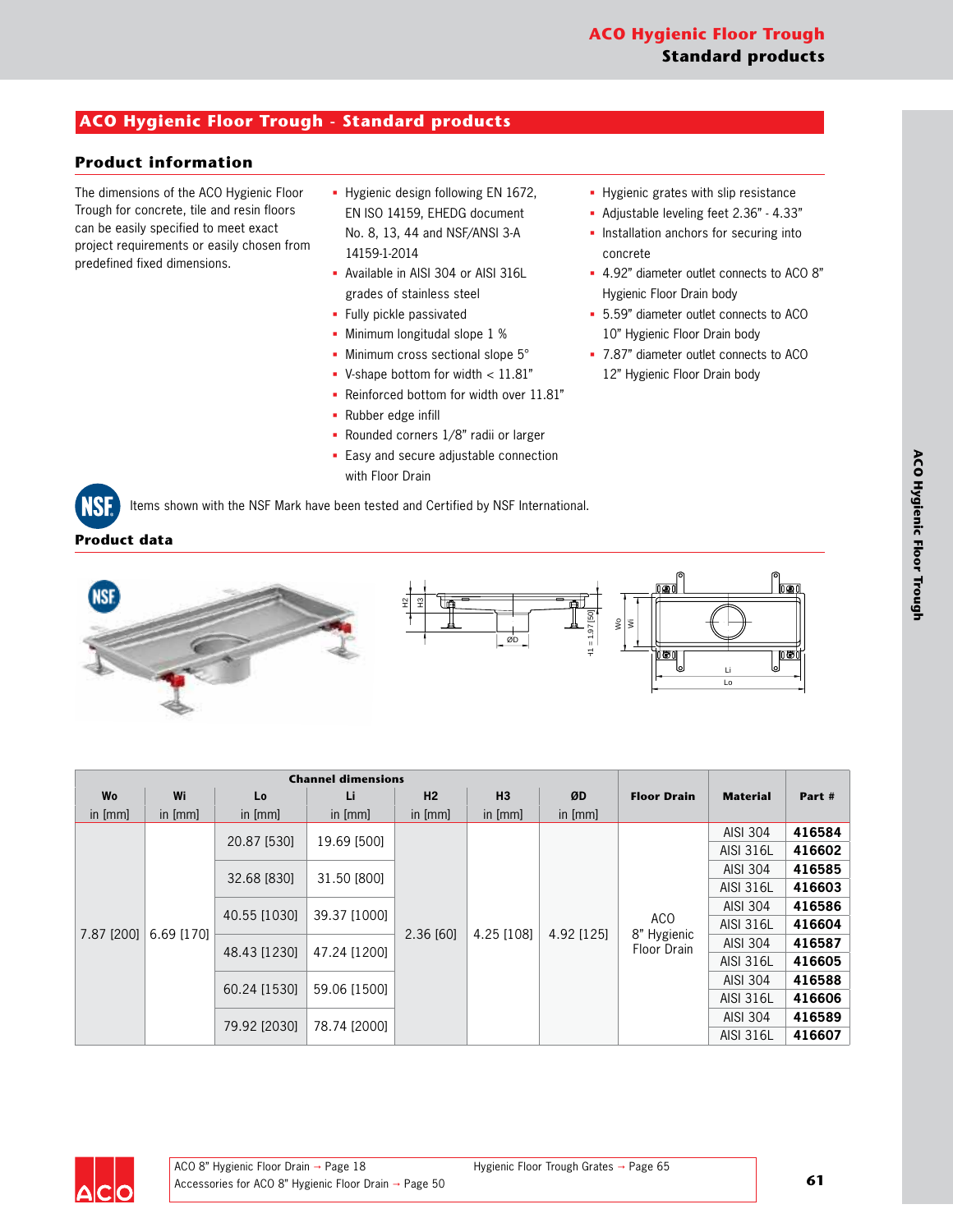# **ACO Hygienic Floor Trough - Standard products**

## **Product information**

The dimensions of the ACO Hygienic Floor Trough for concrete, tile and resin floors can be easily specified to meet exact project requirements or easily chosen from predefined fixed dimensions.

- § Hygienic design following EN 1672, EN ISO 14159, EHEDG document No. 8, 13, 44 and NSF/ANSI 3-A 14159-1-2014
- § Available in AISI 304 or AISI 316L grades of stainless steel
- § Fully pickle passivated
- § Minimum longitudal slope 1 %
- Minimum cross sectional slope 5°
- § V-shape bottom for width < 11.81"
- § Reinforced bottom for width over 11.81"
- Rubber edge infill
- § Rounded corners 1/8" radii or larger
- § Easy and secure adjustable connection with Floor Drain

Items shown with the NSF Mark have been tested and Certified by NSF International.

#### **Product data**

IS.





|                          |              |              | <b>Channel dimensions</b> |                |            |                 |                            |                  |        |
|--------------------------|--------------|--------------|---------------------------|----------------|------------|-----------------|----------------------------|------------------|--------|
| Wo                       | Wi           | Lo           | Li                        | H <sub>2</sub> | H3         | ØD              | <b>Floor Drain</b>         | <b>Material</b>  | Part # |
| in [mm]                  | in [mm]      | in [mm]      | in [mm]                   | in [mm]        | in [mm]    | in [mm]         |                            |                  |        |
|                          |              | 20.87 [530]  | 19.69 [500]               |                |            |                 |                            | <b>AISI 304</b>  | 416584 |
|                          |              |              |                           |                |            |                 |                            | <b>AISI 316L</b> | 416602 |
|                          |              | 32.68 [830]  |                           |                |            |                 |                            | AISI 304         | 416585 |
|                          |              |              | 31.50 [800]               |                |            |                 |                            | <b>AISI 316L</b> | 416603 |
| 7.87 [200]<br>6.69 [170] |              |              |                           |                |            | AC <sub>O</sub> | AISI 304                   | 416586           |        |
|                          | 40.55 [1030] | 39.37 [1000] | 2.36 [60]                 |                |            |                 | <b>AISI 316L</b>           | 416604           |        |
|                          |              |              | 47.24 [1200]              |                | 4.25 [108] | 4.92 [125]      | 8" Hygienic<br>Floor Drain | AISI 304         | 416587 |
|                          |              | 48.43 [1230] |                           |                |            |                 |                            | <b>AISI 316L</b> | 416605 |
|                          |              |              |                           |                |            |                 |                            | AISI 304         | 416588 |
|                          | 60.24 [1530] | 59.06 [1500] |                           |                |            |                 | <b>AISI 316L</b>           | 416606           |        |
|                          |              |              |                           |                |            |                 | AISI 304                   | 416589           |        |
|                          |              | 79.92 [2030] | 78.74 [2000]              |                |            |                 |                            | <b>AISI 316L</b> | 416607 |

- § Hygienic grates with slip resistance
- § Adjustable leveling feet 2.36" 4.33"
- Installation anchors for securing into concrete
- § 4.92" diameter outlet connects to ACO 8" Hygienic Floor Drain body
- § 5.59" diameter outlet connects to ACO 10" Hygienic Floor Drain body
- § 7.87" diameter outlet connects to ACO 12" Hygienic Floor Drain body

∩ه

10 C

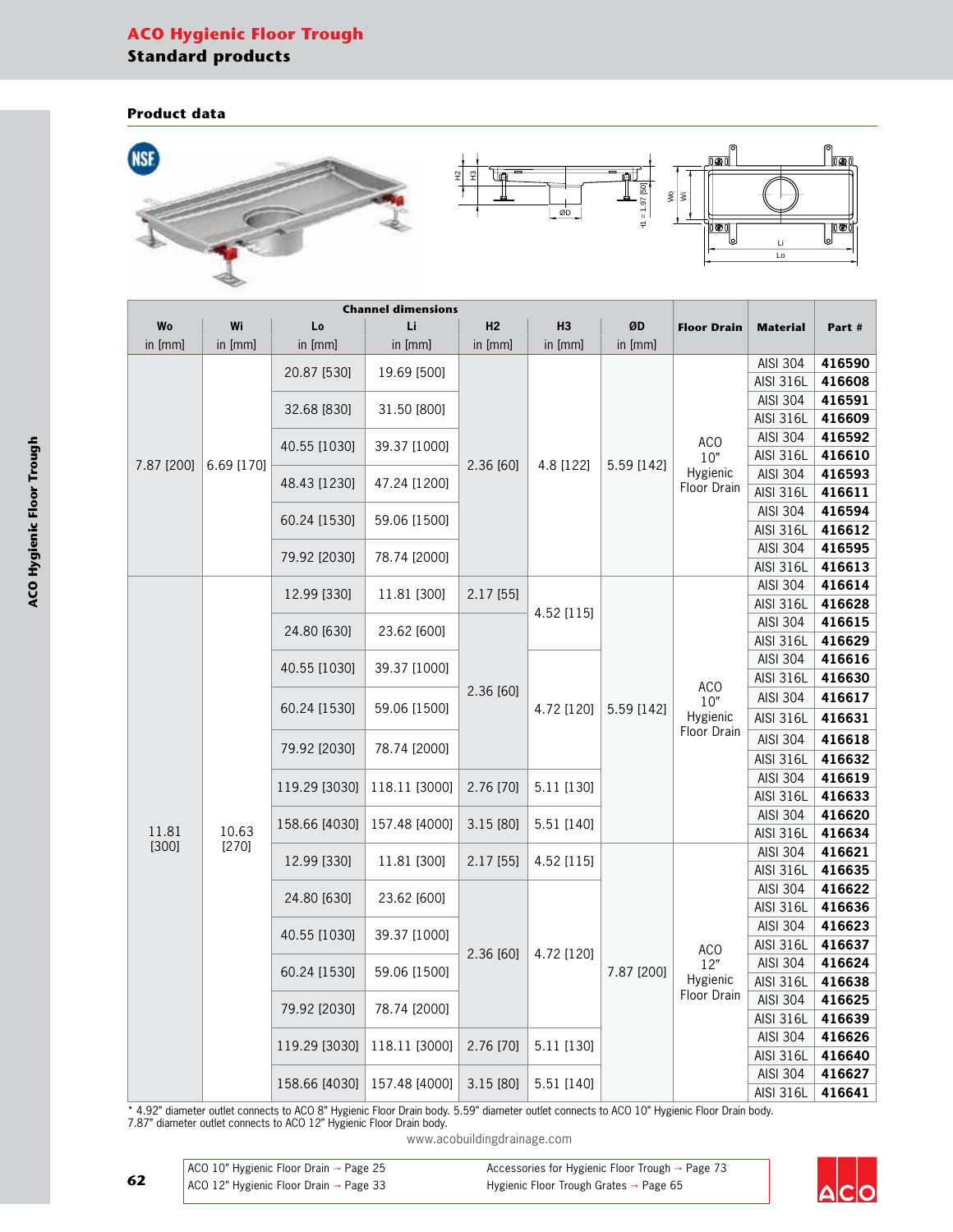# **ACO Hygienic Floor Trough Standard products**

**Product data**



|                |                |               | <b>Channel dimensions</b> |                         |                |            |                                                   |                       |                  |
|----------------|----------------|---------------|---------------------------|-------------------------|----------------|------------|---------------------------------------------------|-----------------------|------------------|
| Wo             | Wi             | Lo            | Li                        | H <sub>2</sub>          | H <sub>3</sub> | ØD         | <b>Floor Drain</b>                                | <b>Material</b>       | Part#            |
| in [mm]        | in [mm]        | in [mm]       | in [mm]                   | in [mm]                 | in [mm]        | in [mm]    |                                                   |                       |                  |
|                |                | 20.87 [530]   | 19.69 [500]               |                         |                |            |                                                   | AISI 304              | 416590           |
|                |                |               |                           |                         |                |            |                                                   | AISI 316L             | 416608           |
|                |                | 32.68 [830]   | 31.50 [800]               |                         |                |            |                                                   | <b>AISI 304</b>       | 416591           |
|                |                |               |                           |                         |                |            |                                                   | <b>AISI 316L</b>      | 416609           |
|                |                | 40.55 [1030]  | 39.37 [1000]              |                         |                |            | <b>ACO</b>                                        | AISI 304              | 416592           |
| 7.87 [200]     | 6.69 [170]     |               |                           | 2.36 [60]               | 4.8 [122]      | 5.59 [142] | 10"<br>Hygienic                                   | AISI 316L             | 416610           |
|                |                | 48.43 [1230]  | 47.24 [1200]              |                         |                |            | Floor Drain                                       | <b>AISI 304</b>       | 416593           |
|                |                |               |                           |                         |                |            |                                                   | AISI 316L<br>AISI 304 | 416611<br>416594 |
|                |                | 60.24 [1530]  | 59.06 [1500]              |                         |                |            |                                                   | AISI 316L             | 416612           |
|                |                |               |                           |                         |                |            |                                                   | AISI 304              | 416595           |
|                |                | 79.92 [2030]  | 78.74 [2000]              |                         |                |            |                                                   | <b>AISI 316L</b>      | 416613           |
|                |                |               |                           |                         |                |            |                                                   | <b>AISI 304</b>       | 416614           |
|                |                | 12.99 [330]   | 11.81 [300]               | 2.17 [55]               |                |            |                                                   | <b>AISI 316L</b>      | 416628           |
|                |                |               |                           |                         | 4.52 [115]     |            |                                                   | AISI 304              | 416615           |
|                |                | 24.80 [630]   | 23.62 [600]               |                         |                |            |                                                   | AISI 316L             | 416629           |
|                |                |               |                           |                         |                |            |                                                   | AISI 304              | 416616           |
|                |                | 40.55 [1030]  | 39.37 [1000]              |                         |                |            |                                                   | <b>AISI 316L</b>      | 416630           |
|                |                |               |                           | 2.36 [60]<br>4.72 [120] |                | 5.59 [142] | AC <sub>O</sub><br>10"<br>Hygienic<br>Floor Drain | <b>AISI 304</b>       | 416617           |
|                |                | 60.24 [1530]  | 59.06 [1500]              |                         |                |            |                                                   | AISI 316L             | 416631           |
|                |                | 79.92 [2030]  | 78.74 [2000]              |                         |                |            |                                                   | <b>AISI 304</b>       | 416618           |
|                |                |               |                           |                         |                |            |                                                   | AISI 316L             | 416632           |
|                |                | 119.29 [3030] | 118.11 [3000]             | 2.76 [70]               | 5.11 [130]     |            |                                                   | AISI 304              | 416619           |
|                |                |               |                           |                         |                |            |                                                   | AISI 316L             | 416633           |
|                |                | 158.66 [4030] | 157.48 [4000]             | 3.15 [80]               | 5.51 [140]     |            |                                                   | AISI 304              | 416620           |
| 11.81<br>[300] | 10.63<br>[270] |               |                           |                         |                |            |                                                   | <b>AISI 316L</b>      | 416634           |
|                |                | 12.99 [330]   | 11.81 [300]               | 2.17 [55]               | 4.52 [115]     |            |                                                   | AISI 304              | 416621           |
|                |                |               |                           |                         |                |            |                                                   | AISI 316L<br>AISI 304 | 416635<br>416622 |
|                |                | 24.80 [630]   | 23.62 [600]               |                         |                |            |                                                   | AISI 316L             | 416636           |
|                |                |               |                           |                         |                |            |                                                   | AISI 304              | 416623           |
|                |                | 40.55 [1030]  | 39.37 [1000]              |                         |                |            |                                                   | AISI 316L             | 416637           |
|                |                |               |                           | 2.36 [60]               | 4.72 [120]     |            | <b>ACO</b><br>12"                                 | <b>AISI 304</b>       | 416624           |
|                |                | 60.24 [1530]  | 59.06 [1500]              |                         |                | 7.87 [200] | Hygienic                                          | AISI 316L             | 416638           |
|                |                |               |                           |                         |                |            | Floor Drain                                       | AISI 304              | 416625           |
|                |                | 79.92 [2030]  | 78.74 [2000]              |                         |                |            |                                                   | AISI 316L             | 416639           |
|                |                |               |                           |                         |                |            |                                                   | AISI 304              | 416626           |
|                |                | 119.29 [3030] | 118.11 [3000]             | 2.76 [70]               | 5.11 [130]     |            |                                                   | AISI 316L             | 416640           |
|                |                |               |                           |                         |                |            |                                                   | <b>AISI 304</b>       | 416627           |
|                |                | 158.66 [4030] | 157.48 [4000]             | 3.15[80]                | 5.51 [140]     |            |                                                   | <b>AISI 316L</b>      | 416641           |

\* 4.92" diameter outlet connects to ACO 8" Hygienic Floor Drain body. 5.59" diameter outlet connects to ACO 10" Hygienic Floor Drain body.

7.87" diameter outlet connects to ACO 12" Hygienic Floor Drain body.

ACO 10" Hygienic Floor Drain  $\rightarrow$  Page 25 ACO 12" Hygienic Floor Drain → Page 33 www.acobuildingdrainage.com

Accessories for Hygienic Floor Trough  $\rightarrow$  Page 73 Hygienic Floor Trough Grates  $\rightarrow$  Page 65

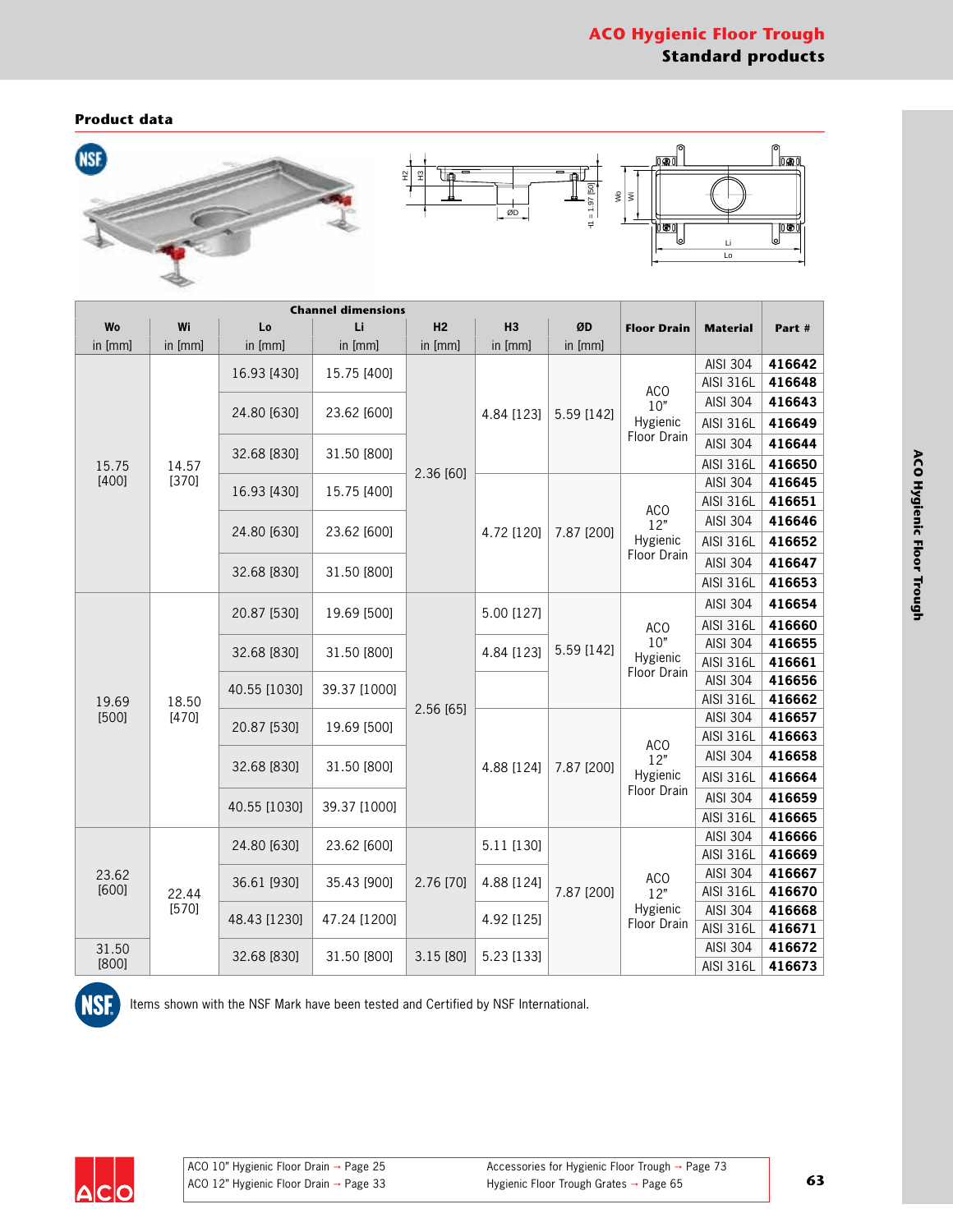#### **Product data**



|         |                         |              | <b>Channel dimensions</b> |                |            |            |                                |                  |        |
|---------|-------------------------|--------------|---------------------------|----------------|------------|------------|--------------------------------|------------------|--------|
| Wo      | Wi                      | Lo           | Li                        | H <sub>2</sub> | <b>H3</b>  | ØD         | <b>Floor Drain</b>             | <b>Material</b>  | Part # |
| in [mm] | in [mm]                 | in [mm]      | in [mm]                   | in [mm]        | in [mm]    | in [mm]    |                                |                  |        |
|         |                         | 16.93 [430]  | 15.75 [400]               |                |            |            |                                | AISI 304         | 416642 |
|         |                         |              |                           |                |            |            | AC <sub>O</sub>                | AISI 316L        | 416648 |
|         |                         | 24.80 [630]  | 23.62 [600]               |                | 4.84 [123] | 5.59 [142] | 10"                            | <b>AISI 304</b>  | 416643 |
|         |                         |              |                           |                |            |            | Hygienic                       | AISI 316L        | 416649 |
|         |                         | 32.68 [830]  | 31.50 [800]               |                |            |            | Floor Drain                    | AISI 304         | 416644 |
| 15.75   | 14.57                   |              |                           | 2.36 [60]      |            |            |                                | AISI 316L        | 416650 |
| [400]   | [370]                   | 16.93 [430]  | 15.75 [400]               |                |            |            |                                | AISI 304         | 416645 |
|         |                         |              |                           |                |            |            | AC <sub>O</sub>                | AISI 316L        | 416651 |
|         |                         | 24.80 [630]  | 23.62 [600]               |                |            |            | 12"                            | <b>AISI 304</b>  | 416646 |
|         |                         |              |                           |                | 4.72 [120] | 7.87 [200] | Hygienic                       | AISI 316L        | 416652 |
|         |                         | 32.68 [830]  | 31.50 [800]               |                |            |            | Floor Drain                    | <b>AISI 304</b>  | 416647 |
|         |                         |              |                           |                |            |            |                                | <b>AISI 316L</b> | 416653 |
|         |                         | 20.87 [530]  | 19.69 [500]               |                | 5.00 [127] |            |                                | <b>AISI 304</b>  | 416654 |
|         |                         |              |                           |                |            |            | AC <sub>O</sub>                | AISI 316L        | 416660 |
|         |                         | 32.68 [830]  | 31.50 [800]               |                | 4.84 [123] | 5.59 [142] | 10"<br>Hygienic<br>Floor Drain | AISI 304         | 416655 |
|         |                         |              |                           |                |            |            |                                | AISI 316L        | 416661 |
|         |                         | 40.55 [1030] | 39.37 [1000]              |                |            |            |                                | <b>AISI 304</b>  | 416656 |
| 19.69   | 18.50                   |              |                           | 2.56 [65]      |            |            |                                | AISI 316L        | 416662 |
| [500]   | [470]                   | 20.87 [530]  | 19.69 [500]               |                |            |            |                                | AISI 304         | 416657 |
|         |                         |              |                           |                |            |            | <b>ACO</b>                     | AISI 316L        | 416663 |
|         |                         | 32.68 [830]  | 31.50 [800]               |                | 4.88 [124] | 7.87 [200] | 12"                            | <b>AISI 304</b>  | 416658 |
|         |                         |              |                           |                |            |            | Hygienic<br>Floor Drain        | <b>AISI 316L</b> | 416664 |
|         |                         | 40.55 [1030] | 39.37 [1000]              |                |            |            |                                | <b>AISI 304</b>  | 416659 |
|         |                         |              |                           |                |            |            |                                | <b>AISI 316L</b> | 416665 |
|         |                         | 24.80 [630]  | 23.62 [600]               |                | 5.11 [130] |            |                                | AISI 304         | 416666 |
|         |                         |              |                           |                |            |            |                                | AISI 316L        | 416669 |
| 23.62   | [600]<br>22.44<br>[570] | 36.61 [930]  | 35.43 [900]               | 2.76 [70]      | 4.88 [124] |            | <b>ACO</b>                     | AISI 304         | 416667 |
|         |                         |              |                           |                |            | 7.87 [200] | 12"                            | AISI 316L        | 416670 |
|         |                         | 48.43 [1230] | 47.24 [1200]              |                | 4.92 [125] |            | Hygienic<br>Floor Drain        | AISI 304         | 416668 |
|         |                         |              |                           |                |            |            |                                | AISI 316L        | 416671 |
| 31.50   |                         | 32.68 [830]  | 31.50 [800]               | 3.15 [80]      | 5.23 [133] |            |                                | AISI 304         | 416672 |
| [800]   |                         |              |                           |                |            |            |                                | AISI 316L        | 416673 |



Items shown with the NSF Mark have been tested and Certified by NSF International.

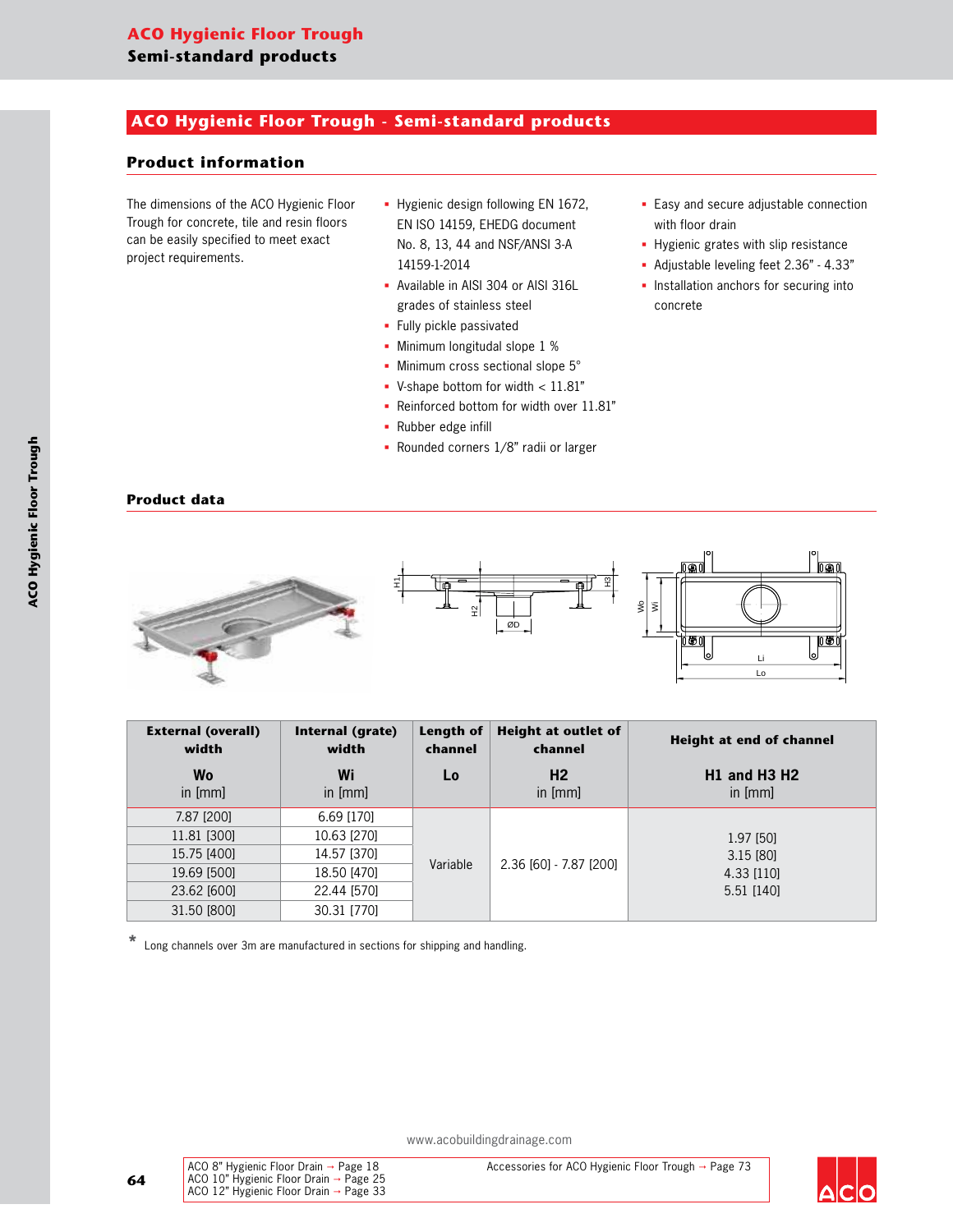#### **ACO Hygienic Floor Trough - Semi-standard products**

#### **Product information**

The dimensions of the ACO Hygienic Floor Trough for concrete, tile and resin floors can be easily specified to meet exact project requirements.

- § Hygienic design following EN 1672, EN ISO 14159, EHEDG document No. 8, 13, 44 and NSF/ANSI 3-A 14159-1-2014
- § Available in AISI 304 or AISI 316L grades of stainless steel
- § Fully pickle passivated
- § Minimum longitudal slope 1 %
- Minimum cross sectional slope 5°
- § V-shape bottom for width < 11.81"
- § Reinforced bottom for width over 11.81"
- § Rubber edge infill
- § Rounded corners 1/8" radii or larger
- § Easy and secure adjustable connection with floor drain
- § Hygienic grates with slip resistance
- § Adjustable leveling feet 2.36" 4.33"
- § Installation anchors for securing into concrete





| <b>External (overall)</b><br>width | Internal (grate)<br>width | Length of<br>channel | Height at outlet of<br>channel | Height at end of channel    |
|------------------------------------|---------------------------|----------------------|--------------------------------|-----------------------------|
| <b>Wo</b><br>in [mm]               | Wi<br>in $[mm]$           | Lo                   | H <sub>2</sub><br>in [mm]      | $H1$ and H3 H2<br>in $[mm]$ |
| 7.87 [200]                         | 6.69 [170]                |                      |                                |                             |
| 11.81 [300]                        | 10.63 [270]               |                      |                                | 1.97 [50]                   |
| 15.75 [400]                        | 14.57 [370]               |                      |                                | 3.15 [80]                   |
| 19.69 [500]                        | 18.50 [470]               | Variable             | 2.36 [60] - 7.87 [200]         | 4.33 [110]                  |
| 23.62 [600]                        | 22.44 [570]               |                      |                                | 5.51 [140]                  |
| 31.50 [800]                        | 30.31 [770]               |                      |                                |                             |

**\*** Long channels over 3m are manufactured in sections for shipping and handling.



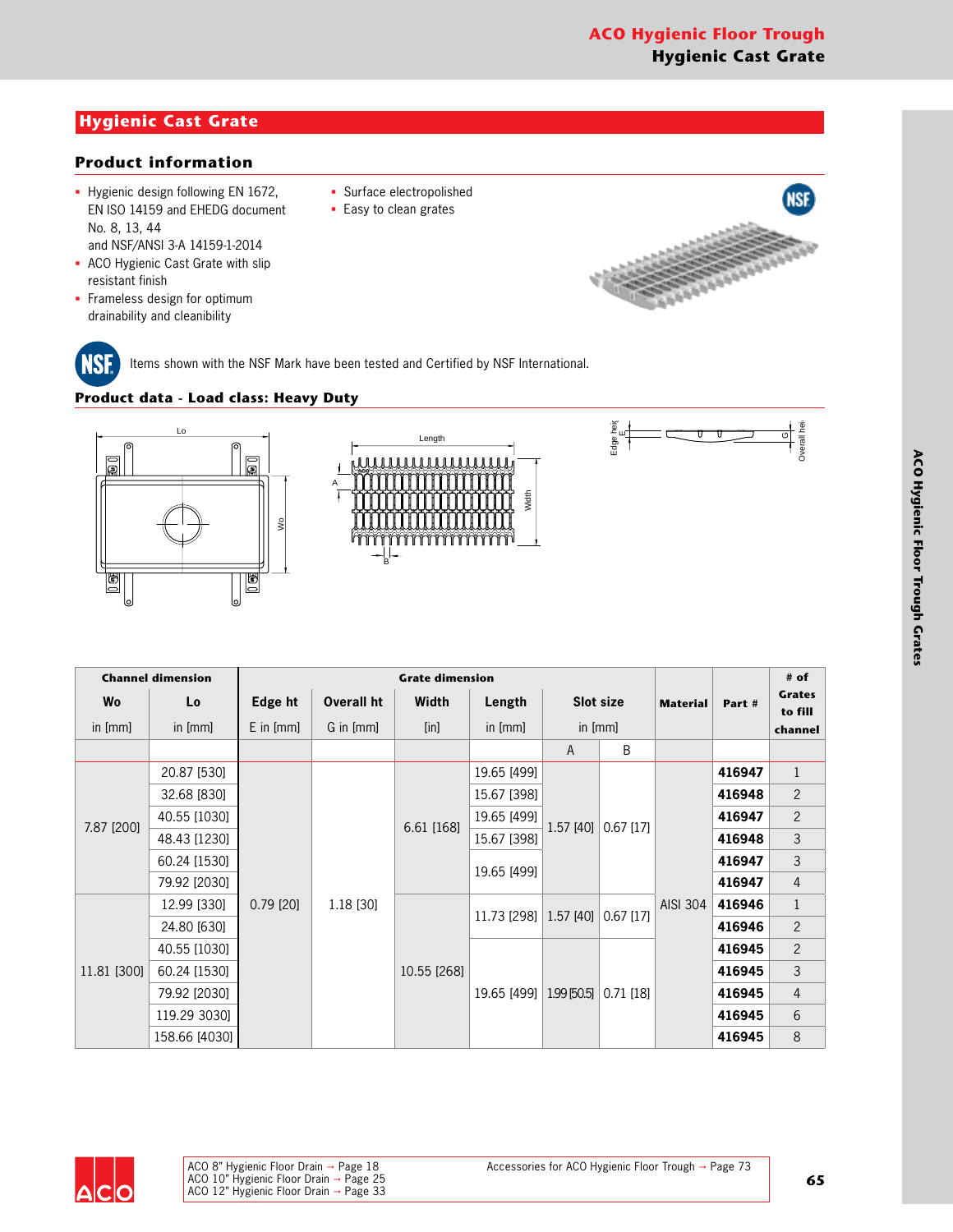# **Hygienic Cast Grate**

# **Product information**

- § Hygienic design following EN 1672, EN ISO 14159 and EHEDG document No. 8, 13, 44 and NSF/ANSI 3-A 14159-1-2014
- § ACO Hygienic Cast Grate with slip resistant finish
- Frameless design for optimum drainability and cleanibility

**NSF** 

§ Surface electropolished

§ Easy to clean grates



Items shown with the NSF Mark have been tested and Certified by NSF International.

## **Product data - Load class: Heavy Duty**



|             | <b>Channel dimension</b> |               |            | <b>Grate dimension</b> |             |             |             |                 |        | # of                     |
|-------------|--------------------------|---------------|------------|------------------------|-------------|-------------|-------------|-----------------|--------|--------------------------|
| Wo          | Lo                       | Edge ht       | Overall ht | Width                  | Length      |             | Slot size   | <b>Material</b> | Part # | <b>Grates</b><br>to fill |
| in [mm]     | in $[mm]$                | $E$ in $[mm]$ | G in [mm]  | $[$ in]                | in $[mm]$   |             | in $[mm]$   |                 |        | channel                  |
|             |                          |               |            |                        |             | A           | B           |                 |        |                          |
|             | 20.87 [530]              |               |            |                        | 19.65 [499] |             |             |                 | 416947 | $\mathbf{1}$             |
|             | 32.68 [830]              |               |            |                        | 15.67 [398] |             |             |                 | 416948 | $\overline{c}$           |
|             | 40.55 [1030]             |               |            |                        | 19.65 [499] |             |             |                 | 416947 | $\overline{c}$           |
| 7.87 [200]  | 48.43 [1230]             |               |            | 6.61 [168]             | 15.67 [398] | 1.57 [40]   | $0.67$ [17] |                 | 416948 | $\mathfrak{Z}$           |
|             | 60.24 [1530]             |               |            |                        |             |             |             |                 | 416947 | $\mathfrak{Z}$           |
|             | 79.92 [2030]             |               |            |                        | 19.65 [499] |             |             |                 | 416947 | $\overline{4}$           |
|             | 12.99 [330]              | $0.79$ [20]   | 1.18 [30]  |                        |             |             |             | <b>AISI 304</b> | 416946 | $\mathbf{1}$             |
|             | 24.80 [630]              |               |            |                        | 11.73 [298] | 1.57[40]    | $0.67$ [17] |                 | 416946 | $\overline{c}$           |
|             | 40.55 [1030]             |               |            |                        |             |             |             |                 | 416945 | $\mathbf{2}$             |
| 11.81 [300] | 60.24 [1530]             |               |            | 10.55 [268]            |             |             |             |                 | 416945 | $\mathsf{3}$             |
|             | 79.92 [2030]             |               |            |                        | 19.65 [499] | 1.99 [50.5] | $0.71$ [18] |                 | 416945 | $\overline{4}$           |
|             | 119.29 3030]             |               |            |                        |             |             |             |                 | 416945 | $6\,$                    |
|             | 158.66 [4030]            |               |            |                        |             |             |             |                 | 416945 | $\,8\,$                  |

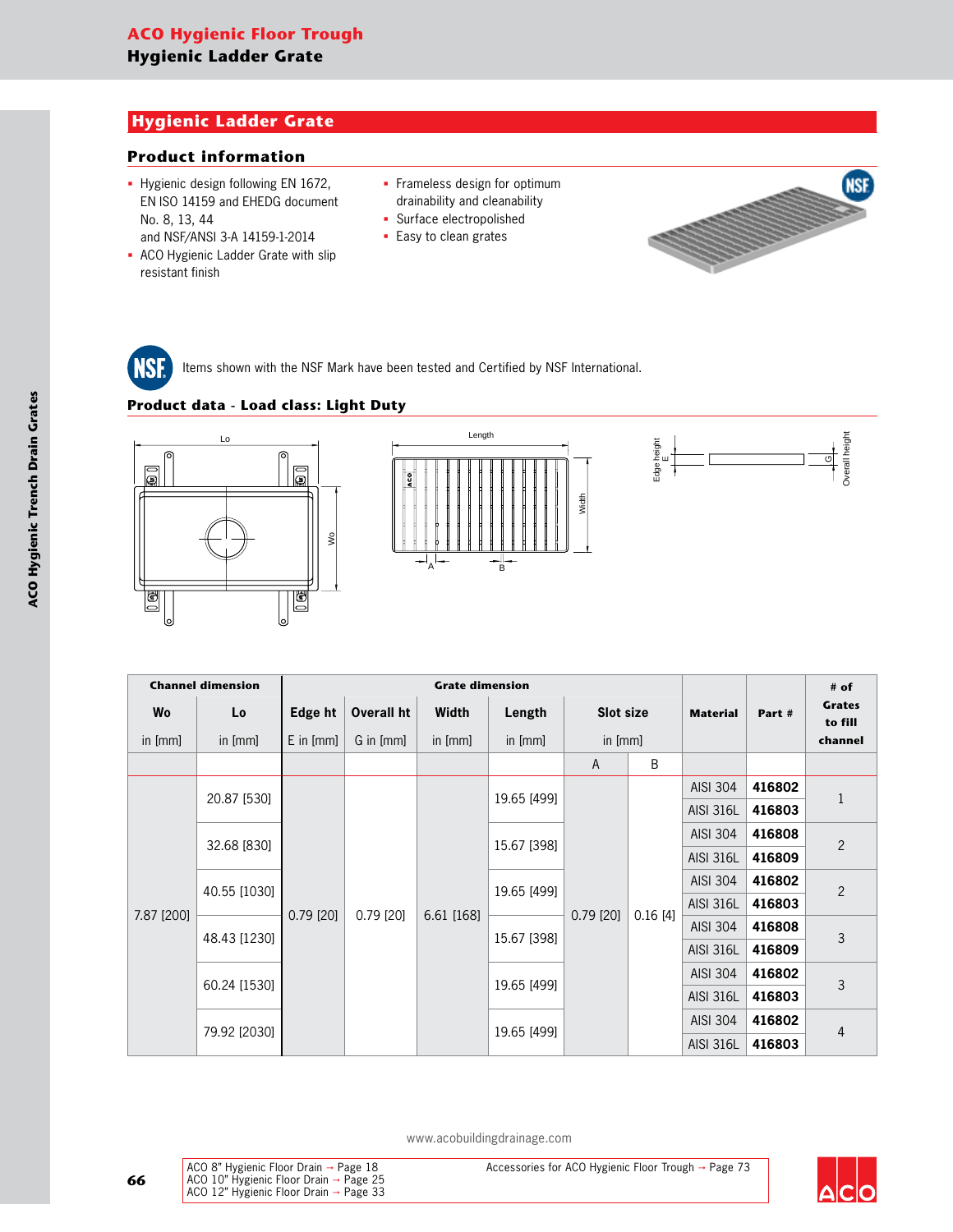# **Hygienic Ladder Grate**

#### **Product information**

- § Hygienic design following EN 1672, EN ISO 14159 and EHEDG document No. 8, 13, 44 and NSF/ANSI 3-A 14159-1-2014
- § ACO Hygienic Ladder Grate with slip resistant finish
- Frameless design for optimum drainability and cleanability
- § Surface electropolished
- § Easy to clean grates



**NSF** 

Items shown with the NSF Mark have been tested and Certified by NSF International.

### **Product data - Load class: Light Duty**







|            | <b>Channel dimension</b> | <b>Grate dimension</b> |             |            |             |                  |         |                  |          | # of                     |                |
|------------|--------------------------|------------------------|-------------|------------|-------------|------------------|---------|------------------|----------|--------------------------|----------------|
| Wo         | Lo                       | <b>Edge ht</b>         | Overall ht  | Width      | Length      | <b>Slot size</b> |         | <b>Material</b>  | Part #   | <b>Grates</b><br>to fill |                |
| in [mm]    | in [mm]                  | $E$ in $[mm]$          | G in [mm]   | in [mm]    | in [mm]     | in $[mm]$        |         |                  |          | channel                  |                |
|            |                          |                        |             |            |             | A                | B       |                  |          |                          |                |
|            |                          |                        |             |            |             |                  |         | AISI 304         | 416802   | $\mathbf{1}$             |                |
|            | 20.87 [530]              |                        |             |            | 19.65 [499] |                  |         | <b>AISI 316L</b> | 416803   |                          |                |
|            | 32.68 [830]              |                        |             |            | 15.67 [398] |                  |         |                  | AISI 304 | 416808                   | $\overline{2}$ |
|            |                          |                        |             |            |             |                  | 0.16[4] | <b>AISI 316L</b> | 416809   |                          |                |
|            | 40.55 [1030]             |                        |             |            |             |                  |         | AISI 304         | 416802   | $\overline{2}$           |                |
|            |                          |                        |             |            | 19.65 [499] |                  |         | <b>AISI 316L</b> | 416803   |                          |                |
| 7.87 [200] |                          | $0.79$ [20]            | $0.79$ [20] | 6.61 [168] |             | $0.79$ [20]      |         | AISI 304         | 416808   |                          |                |
|            | 48.43 [1230]             |                        |             |            | 15.67 [398] |                  |         | <b>AISI 316L</b> | 416809   | 3                        |                |
|            |                          |                        |             |            |             |                  |         | AISI 304         | 416802   | 3                        |                |
|            | 60.24 [1530]             |                        |             |            | 19.65 [499] |                  |         | <b>AISI 316L</b> | 416803   |                          |                |
|            |                          |                        |             |            |             |                  |         | AISI 304         | 416802   |                          |                |
|            | 79.92 [2030]             |                        |             |            | 19.65 [499] |                  |         | AISI 316L        | 416803   | 4                        |                |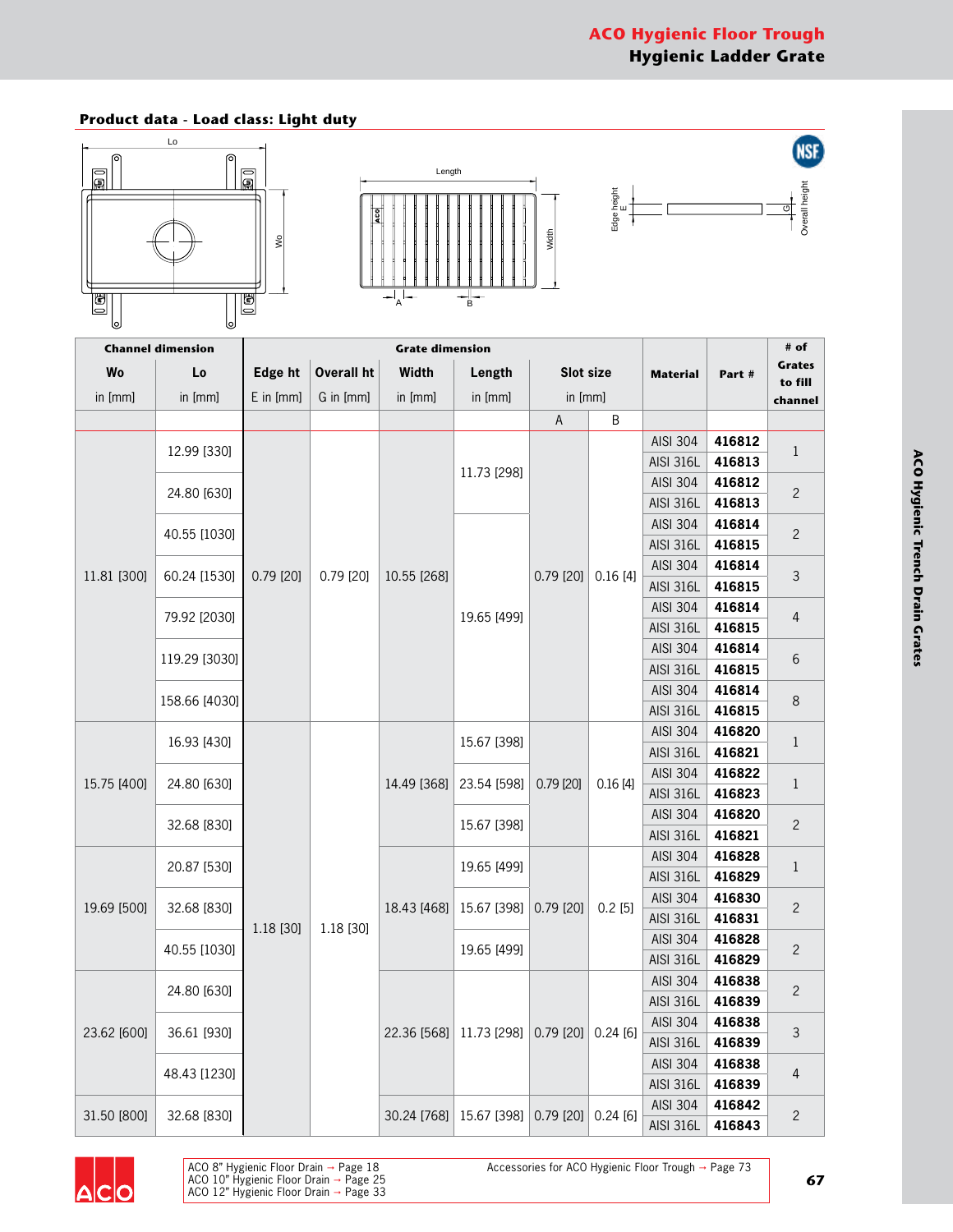ල $\overline{\phantom{a}}$ Overall height Overall height

**USE** 

Edge height Edge height<br>E

#### **Product data - Load class: Light duty**





| $\equiv$<br>لعا | لعا                      | ▭           |                   |                        |               |              |           |                                     |                  |                                |
|-----------------|--------------------------|-------------|-------------------|------------------------|---------------|--------------|-----------|-------------------------------------|------------------|--------------------------------|
|                 | <b>Channel dimension</b> |             |                   | <b>Grate dimension</b> |               |              |           |                                     |                  | # of                           |
| Wo              | Lo                       | Edge ht     | <b>Overall ht</b> | Width                  | Length        | Slot size    |           | <b>Material</b>                     | Part#            | <b>Grates</b><br>to fill       |
| in [mm]         | in [mm]                  | E in [mm]   | G in [mm]         | in [mm]                | in [mm]       | in [mm]      |           |                                     |                  | channel                        |
|                 |                          |             |                   |                        |               | $\mathsf{A}$ | B         |                                     |                  |                                |
|                 | 12.99 [330]              |             |                   |                        |               |              |           | <b>AISI 304</b>                     | 416812           | $\mathbf 1$                    |
|                 |                          |             |                   |                        | 11.73 [298]   |              |           | <b>AISI 316L</b>                    | 416813           |                                |
|                 | 24.80 [630]              |             |                   |                        |               |              |           | <b>AISI 304</b>                     | 416812           | $\overline{c}$                 |
|                 |                          |             |                   |                        |               |              |           | <b>AISI 316L</b>                    | 416813           |                                |
|                 | 40.55 [1030]             |             |                   |                        |               |              |           | AISI 304                            | 416814           | $\overline{c}$                 |
|                 |                          |             |                   |                        |               |              |           | <b>AISI 316L</b>                    | 416815           |                                |
| 11.81 [300]     | 60.24 [1530]             | $0.79$ [20] | $0.79$ [20]       | 10.55 [268]            |               | $0.79$ [20]  | 0.16[4]   | <b>AISI 304</b>                     | 416814           | 3                              |
|                 |                          |             |                   |                        | 19.65 [499]   |              |           | <b>AISI 316L</b>                    | 416815           |                                |
|                 | 79.92 [2030]             |             |                   |                        |               |              |           | <b>AISI 304</b>                     | 416814           | 4                              |
|                 |                          |             |                   |                        |               |              |           | <b>AISI 316L</b><br><b>AISI 304</b> | 416815<br>416814 |                                |
|                 | 119.29 [3030]            |             |                   |                        |               |              |           | <b>AISI 316L</b>                    | 416815           | 6                              |
|                 |                          |             |                   |                        |               |              |           | <b>AISI 304</b>                     | 416814           |                                |
|                 | 158.66 [4030]            |             |                   |                        |               |              |           | <b>AISI 316L</b>                    | 416815           | $\,8\,$                        |
|                 |                          |             |                   |                        |               |              |           | AISI 304                            | 416820           |                                |
|                 | 16.93 [430]              |             |                   |                        | 15.67 [398]   |              |           | <b>AISI 316L</b>                    | 416821           | $\mathbf{1}$                   |
|                 |                          |             |                   |                        |               |              |           | <b>AISI 304</b>                     | 416822           | $\mathbf{1}$<br>$\overline{c}$ |
| 15.75 [400]     | 24.80 [630]              |             |                   | 14.49 [368]            | 23.54 [598]   | $0.79$ [20]  | 0.16[4]   | <b>AISI 316L</b>                    | 416823           |                                |
|                 | 32.68 [830]              |             |                   |                        | 15.67 [398]   |              |           | <b>AISI 304</b>                     | 416820           |                                |
|                 |                          |             |                   |                        |               |              |           | <b>AISI 316L</b>                    | 416821           |                                |
|                 | 20.87 [530]              |             |                   |                        | 19.65 [499]   |              |           | AISI 304                            | 416828           | $\mathbf{1}$                   |
|                 |                          |             |                   |                        |               |              |           | <b>AISI 316L</b>                    | 416829           |                                |
| 19.69 [500]     | 32.68 [830]              |             |                   | 18.43 [468]            | 15.67 [398]   | $0.79$ [20]  | $0.2$ [5] | AISI 304                            | 416830           | $\overline{c}$                 |
|                 |                          | 1.18 [30]   | 1.18 [30]         |                        |               |              |           | <b>AISI 316L</b>                    | 416831           |                                |
|                 | 40.55 [1030]             |             |                   |                        | 19.65 [499]   |              |           | <b>AISI 304</b>                     | 416828           | 2                              |
|                 |                          |             |                   |                        |               |              |           | <b>AISI 316L</b>                    | 416829           |                                |
|                 | 24.80 [630]              |             |                   |                        |               |              |           | AISI 304                            | 416838<br>416839 | $\mathbf{2}$                   |
|                 |                          |             |                   |                        |               |              |           | AISI 316L<br><b>AISI 304</b>        | 416838           |                                |
| 23.62 [600]     | 36.61 [930]              |             |                   | 22.36 [568]            | $11.73$ [298] | $0.79$ [20]  | 0.24[6]   | <b>AISI 316L</b>                    | 416839           | 3                              |
|                 |                          |             |                   |                        |               |              |           | <b>AISI 304</b>                     | 416838           |                                |
|                 | 48.43 [1230]             |             |                   |                        |               |              |           | <b>AISI 316L</b>                    | 416839           | 4                              |
|                 |                          |             |                   |                        |               |              |           | <b>AISI 304</b>                     | 416842           |                                |
| 31.50 [800]     | 32.68 [830]              |             |                   | 30.24 [768]            | 15.67 [398]   | 0.79 20]     | 0.24[6]   | <b>AISI 316L</b>                    | 416843           | $\overline{c}$                 |

Accessories for ACO Hygienic Floor Trough → Page 73

ACO 8" Hygienic Floor Drain Page 18 ACO 10" Hygienic Floor Drain Page 25 ACO 12" Hygienic Floor Drain Page 33

**67**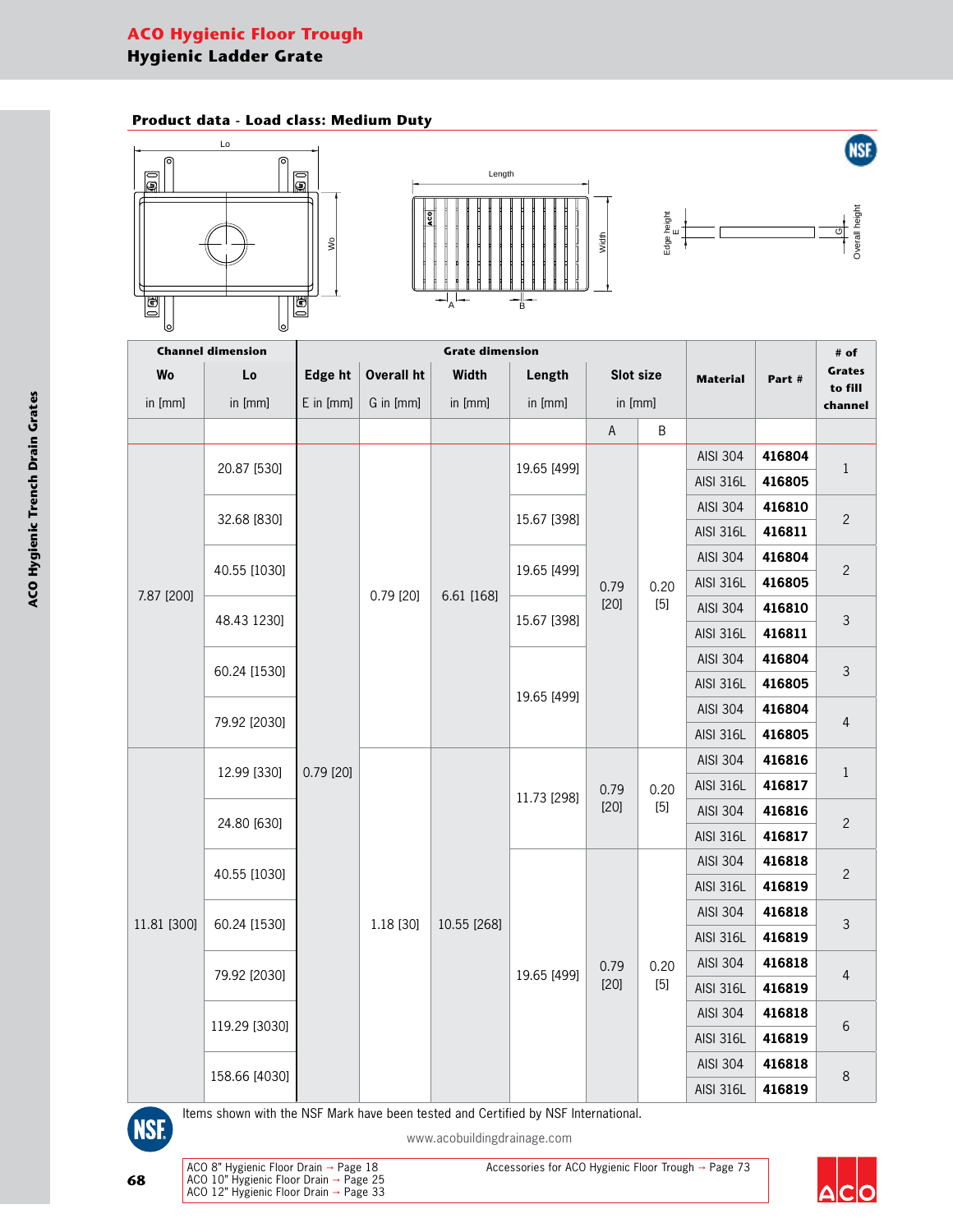## **Product data - Load class: Medium Duty**







**USE** 

| $\Box$<br>୲୶ | юJ                       | ▭           |                   |                        |             |           |       |                  |                  |                          |
|--------------|--------------------------|-------------|-------------------|------------------------|-------------|-----------|-------|------------------|------------------|--------------------------|
|              | <b>Channel dimension</b> |             |                   | <b>Grate dimension</b> |             |           |       |                  |                  | # of                     |
| Wo           | Lo                       | Edge ht     | <b>Overall ht</b> | Width                  | Length      | Slot size |       | <b>Material</b>  | Part#            | <b>Grates</b><br>to fill |
| in [mm]      | in [mm]                  | E in [mm]   | G in [mm]         | in [mm]                | in [mm]     | in [mm]   |       |                  |                  | channel                  |
|              |                          |             |                   |                        |             | A         | B     |                  |                  |                          |
|              |                          |             |                   |                        |             |           |       | <b>AISI 304</b>  | 416804           |                          |
|              | 20.87 [530]              |             |                   |                        | 19.65 [499] |           |       | <b>AISI 316L</b> | 416805           | $\mathbf{1}$             |
|              |                          |             |                   |                        |             |           |       | <b>AISI 304</b>  | 416810           | $\overline{c}$           |
|              | 32.68 [830]              |             |                   | 6.61 [168]             | 15.67 [398] |           |       | <b>AISI 316L</b> | 416811           |                          |
|              | 40.55 [1030]             |             |                   |                        | 19.65 [499] |           |       | <b>AISI 304</b>  | 416804           | $\mathbf{2}$             |
| 7.87 [200]   |                          |             | $0.79$ [20]       |                        |             | 0.79      | 0.20  | <b>AISI 316L</b> | 416805           |                          |
|              | 48.43 1230]              |             |                   |                        |             | $[20]$    | $[5]$ | <b>AISI 304</b>  | 416810           | 3                        |
|              |                          |             |                   |                        | 15.67 [398] |           |       | <b>AISI 316L</b> | 416811           |                          |
|              | 60.24 [1530]             |             |                   |                        |             |           |       | AISI 304         | 416804           | 3                        |
|              |                          |             |                   |                        | 19.65 [499] |           |       | <b>AISI 316L</b> | 416805           |                          |
|              |                          |             |                   |                        |             |           |       | AISI 304         | 416804           | 4                        |
|              | 79.92 [2030]             |             |                   |                        |             |           |       | <b>AISI 316L</b> | 416805           |                          |
|              | 12.99 [330]              | $0.79$ [20] |                   |                        |             |           |       | <b>AISI 304</b>  | 416816           | $\mathbf{1}$             |
|              |                          |             |                   |                        | 11.73 [298] | 0.79      | 0.20  | <b>AISI 316L</b> | 416817           | $\overline{c}$           |
|              | 24.80 [630]              |             |                   |                        |             | $[20]$    | $[5]$ | <b>AISI 304</b>  | 416816           |                          |
|              |                          |             |                   |                        |             |           |       | <b>AISI 316L</b> | 416817           |                          |
|              | 40.55 [1030]             |             |                   |                        |             |           |       | <b>AISI 304</b>  | 416818           | $\overline{c}$           |
|              |                          |             |                   |                        |             |           |       | <b>AISI 316L</b> | 416819           |                          |
| 11.81 [300]  | 60.24 [1530]             |             | 1.18 [30]         | 10.55 [268]            |             |           |       | <b>AISI 304</b>  | 416818           | 3                        |
|              |                          |             |                   |                        |             |           |       | <b>AISI 316L</b> | 416819           |                          |
|              | 79.92 [2030]             |             |                   |                        | 19.65 [499] | 0.79      | 0.20  | AISI 304         | 416818           | 4                        |
|              |                          |             |                   |                        |             | $[20]$    | $[5]$ | <b>AISI 316L</b> | 416819           |                          |
|              | 119.29 [3030]            |             |                   |                        |             |           |       | <b>AISI 304</b>  | 416818           | $\boldsymbol{6}$         |
|              |                          |             |                   |                        |             |           |       | <b>AISI 316L</b> | 416819           |                          |
|              | 158.66 [4030]            |             |                   |                        |             |           |       | <b>AISI 304</b>  | 416818           | 8                        |
|              |                          |             |                   |                        |             |           |       |                  | <b>AISI 316L</b> | 416819                   |



ACO 8" Hygienic Floor Drain Page 18 ACO 10" Hygienic Floor Drain Page 25 ACO 12" Hygienic Floor Drain Page 33

Items shown with the NSF Mark have been tested and Certified by NSF International.

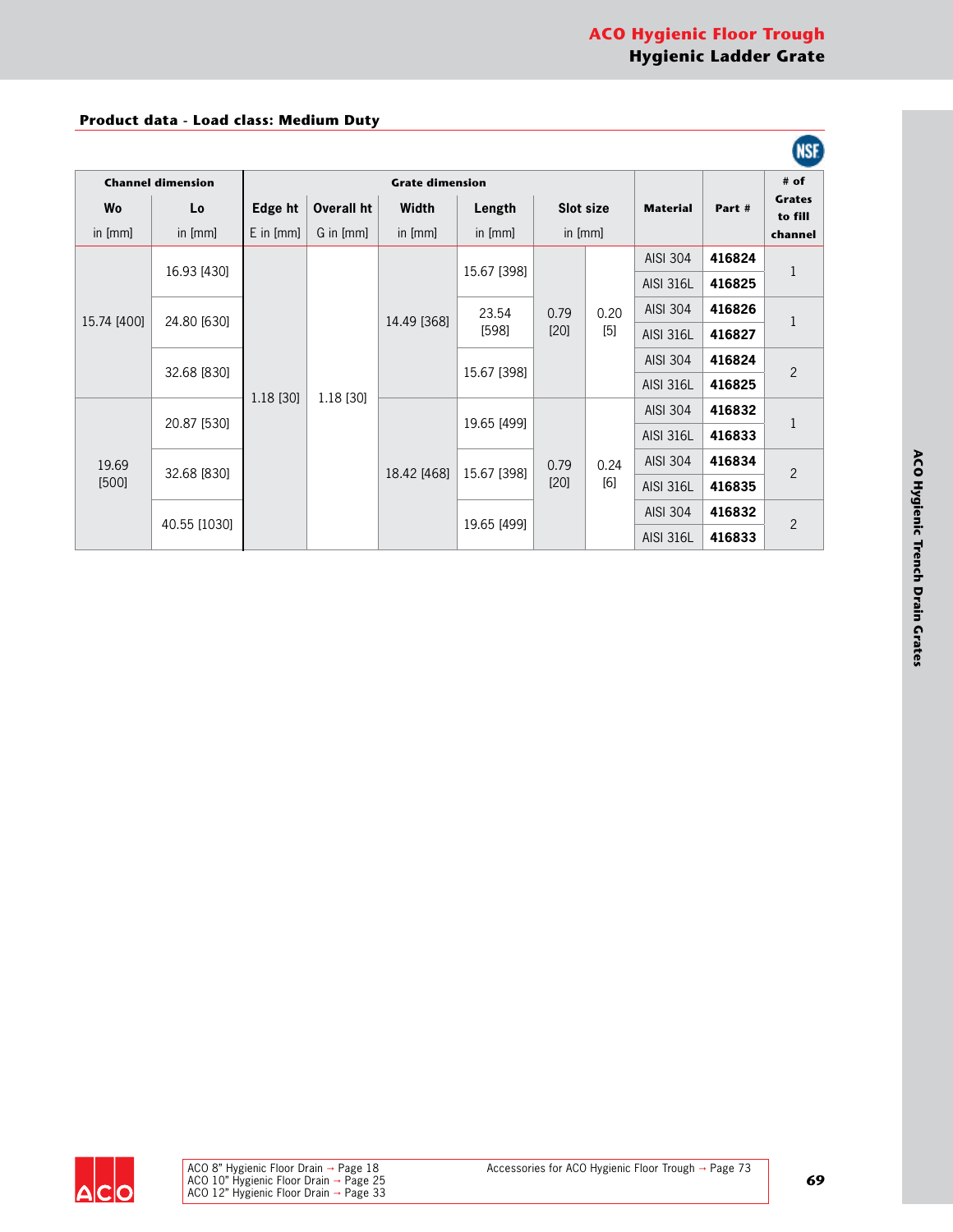#### **Product data - Load class: Medium Duty**

|                |                                           |               |            |                        |                               |                  |               |                  |        | <b>NSF</b>               |                  |        |
|----------------|-------------------------------------------|---------------|------------|------------------------|-------------------------------|------------------|---------------|------------------|--------|--------------------------|------------------|--------|
|                | <b>Channel dimension</b>                  |               |            | <b>Grate dimension</b> |                               |                  |               |                  |        | $#$ of                   |                  |        |
| <b>Wo</b>      | Lo                                        | Edge ht       | Overall ht | Width                  | Length                        | <b>Slot size</b> |               | <b>Material</b>  | Part # | <b>Grates</b><br>to fill |                  |        |
| in [mm]        | in [mm]                                   | $E$ in $[mm]$ | G in [mm]  | in [mm]                | in [mm]                       | in [mm]          |               |                  |        | channel                  |                  |        |
|                | 16.93 [430]                               |               |            |                        | 15.67 [398]                   |                  |               | <b>AISI 304</b>  | 416824 | 1                        |                  |        |
|                |                                           |               |            |                        |                               |                  |               | <b>AISI 316L</b> | 416825 |                          |                  |        |
|                | 15.74 [400]<br>24.80 [630]<br>32.68 [830] |               |            |                        | 23.54<br>[598]<br>15.67 [398] | 0.79             | 0.20<br>$[5]$ | <b>AISI 304</b>  | 416826 | $\mathbf{1}$             |                  |        |
|                |                                           |               |            | 14.49 [368]            |                               | [20]             |               | <b>AISI 316L</b> | 416827 |                          |                  |        |
|                |                                           |               |            |                        |                               |                  |               | <b>AISI 304</b>  | 416824 | $\overline{2}$           |                  |        |
|                |                                           |               |            |                        |                               |                  |               | <b>AISI 316L</b> | 416825 |                          |                  |        |
|                |                                           | 1.18 [30]     | 1.18 [30]  |                        |                               |                  |               | <b>AISI 304</b>  | 416832 |                          |                  |        |
| 19.69<br>[500] | 20.87 [530]                               |               |            |                        | 19.65 [499]                   |                  |               | <b>AISI 316L</b> | 416833 | $\mathbf 1$              |                  |        |
|                |                                           |               |            |                        |                               | 0.79             | 0.24          | <b>AISI 304</b>  | 416834 | $\overline{2}$           |                  |        |
|                | 32.68 [830]                               |               |            | 18.42 [468]            | 15.67 [398]                   | $[20]$           | [6]           | <b>AISI 316L</b> | 416835 |                          |                  |        |
|                |                                           |               |            |                        |                               |                  |               | <b>AISI 304</b>  | 416832 |                          |                  |        |
|                | 40.55 [1030]                              |               |            |                        |                               |                  |               | 19.65 [499]      |        |                          | <b>AISI 316L</b> | 416833 |

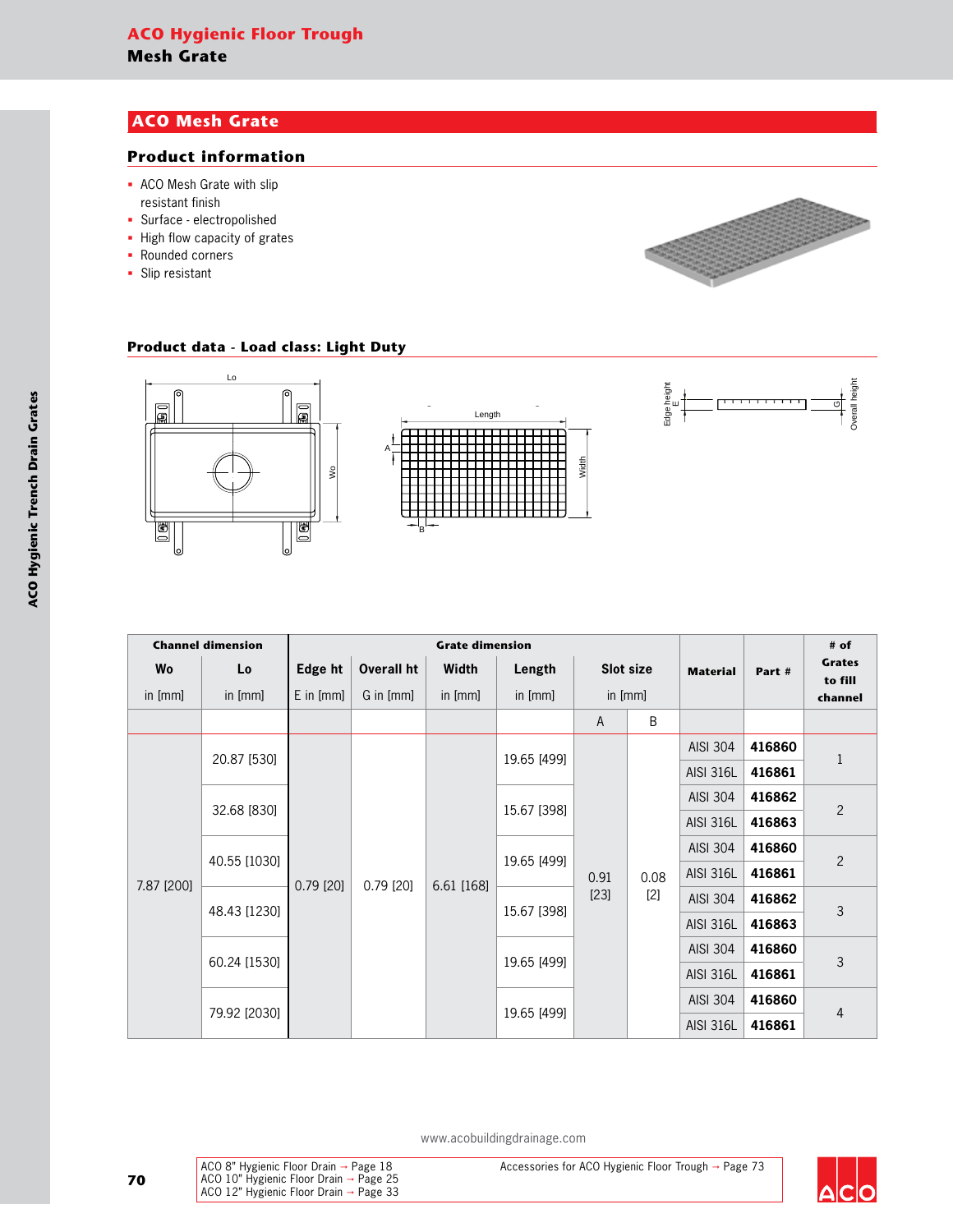# **ACO Mesh Grate**

#### **Product information**

- § ACO Mesh Grate with slip
- resistant finish
- § Surface electropolished
- § High flow capacity of grates
- Rounded corners
- § Slip resistant



#### **Product data - Load class: Light Duty**



|            | <b>Channel dimension</b> |               | <b>Grate dimension</b> |            |             |           |                               |                  |        | # of                     |
|------------|--------------------------|---------------|------------------------|------------|-------------|-----------|-------------------------------|------------------|--------|--------------------------|
| Wo         | Lo                       | Edge ht       | Overall ht             | Width      | Length      | Slot size |                               | <b>Material</b>  | Part#  | <b>Grates</b><br>to fill |
| in [mm]    | in [mm]                  | $E$ in $[mm]$ | G in [mm]              | in [mm]    | in [mm]     | in [mm]   |                               |                  |        | channel                  |
|            |                          |               |                        |            |             | A         | B                             |                  |        |                          |
|            | 20.87 [530]              |               |                        |            | 19.65 [499] |           |                               | <b>AISI 304</b>  | 416860 | $1\,$                    |
|            |                          |               |                        |            |             |           | 0.08<br>0.91<br>$[23]$<br>[2] | <b>AISI 316L</b> | 416861 | $\overline{c}$           |
|            | 32.68 [830]              |               |                        |            | 15.67 [398] |           |                               | <b>AISI 304</b>  | 416862 |                          |
|            |                          |               |                        |            |             |           |                               | <b>AISI 316L</b> | 416863 |                          |
|            | 40.55 [1030]             |               |                        |            | 19.65 [499] |           |                               | AISI 304         | 416860 | $\overline{c}$           |
|            |                          |               |                        |            |             |           |                               | <b>AISI 316L</b> | 416861 |                          |
| 7.87 [200] |                          | $0.79$ [20]   | $0.79$ [20]            | 6.61 [168] |             |           |                               | <b>AISI 304</b>  | 416862 | 3                        |
|            | 48.43 [1230]             |               |                        |            | 15.67 [398] |           |                               | <b>AISI 316L</b> | 416863 |                          |
|            |                          |               |                        |            |             |           |                               | <b>AISI 304</b>  | 416860 |                          |
|            | 60.24 [1530]             |               |                        |            | 19.65 [499] |           |                               | <b>AISI 316L</b> | 416861 | 3                        |
|            |                          |               |                        |            | 19.65 [499] |           |                               | <b>AISI 304</b>  | 416860 |                          |
|            | 79.92 [2030]             |               |                        |            |             |           |                               | <b>AISI 316L</b> | 416861 | $\overline{4}$           |

www.acobuildingdrainage.com



Accessories for ACO Hygienic Floor Trough  $\rightarrow$  Page 73

ACO 8" Hygienic Floor Drain → Page 18<br>ACO 10" Hygienic Floor Drain → Page 25<br>ACO 12" Hygienic Floor Drain → Page 33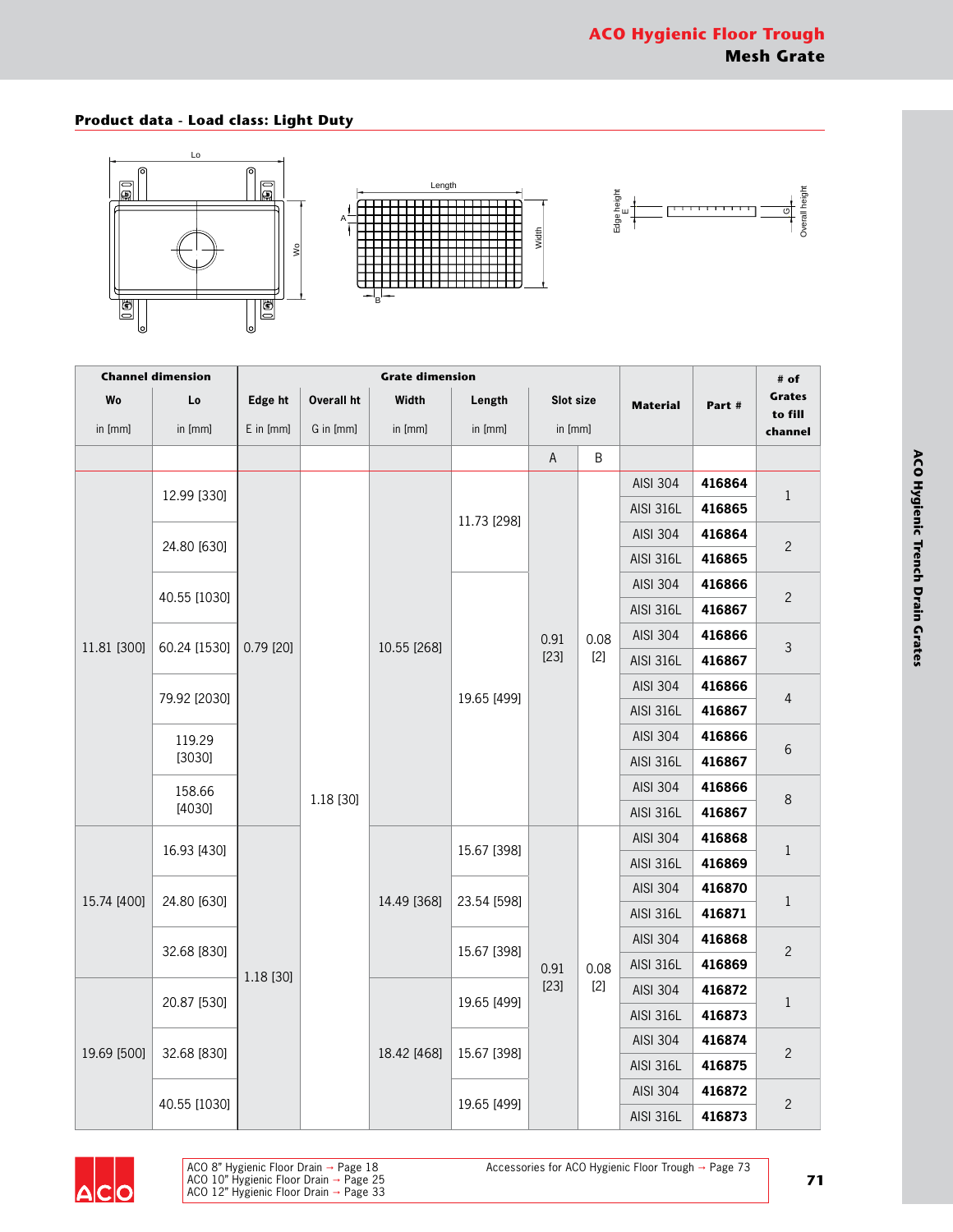### **Product data - Load class: Light Duty**







|             | <b>Channel dimension</b> |               |            | <b>Grate dimension</b> |             |           |       |                  |        | # of               |
|-------------|--------------------------|---------------|------------|------------------------|-------------|-----------|-------|------------------|--------|--------------------|
| Wo          | Lo                       | Edge ht       | Overall ht | Width                  | Length      | Slot size |       | <b>Material</b>  | Part#  | <b>Grates</b>      |
| in [mm]     | in [mm]                  | $E$ in $[mm]$ | G in [mm]  | in [mm]                | in [mm]     | in [mm]   |       |                  |        | to fill<br>channel |
|             |                          |               |            |                        |             | A         | B     |                  |        |                    |
|             |                          |               |            |                        |             |           |       | <b>AISI 304</b>  | 416864 |                    |
|             | 12.99 [330]              |               |            |                        |             |           |       | <b>AISI 316L</b> | 416865 | $\mathbf{1}$       |
|             | 24.80 [630]              |               |            |                        | 11.73 [298] |           |       | <b>AISI 304</b>  | 416864 | $\sqrt{2}$         |
|             |                          |               |            |                        |             |           |       | <b>AISI 316L</b> | 416865 |                    |
|             | 40.55 [1030]             |               |            |                        |             |           |       | <b>AISI 304</b>  | 416866 | $\overline{c}$     |
|             |                          |               |            |                        |             |           |       | <b>AISI 316L</b> | 416867 |                    |
| 11.81 [300] | 60.24 [1530]             | $0.79$ [20]   |            | 10.55 [268]            |             | 0.91      | 0.08  | <b>AISI 304</b>  | 416866 | 3                  |
|             |                          |               |            |                        |             | $[23]$    | $[2]$ | <b>AISI 316L</b> | 416867 |                    |
|             | 79.92 [2030]             |               | 1.18 [30]  |                        | 19.65 [499] |           |       | <b>AISI 304</b>  | 416866 | 4                  |
|             |                          |               |            |                        |             |           |       | <b>AISI 316L</b> | 416867 |                    |
|             | 119.29                   |               |            |                        |             |           |       | <b>AISI 304</b>  | 416866 | 6                  |
|             | [3030]                   |               |            |                        |             |           |       | <b>AISI 316L</b> | 416867 |                    |
|             | 158.66                   |               |            |                        |             |           |       | <b>AISI 304</b>  | 416866 | 8                  |
|             | [4030]                   |               |            |                        |             |           |       | <b>AISI 316L</b> | 416867 |                    |
|             | 16.93 [430]              |               |            |                        | 15.67 [398] |           |       | AISI 304         | 416868 | $\mathbf{1}$       |
|             |                          |               |            |                        |             |           |       | <b>AISI 316L</b> | 416869 |                    |
| 15.74 [400] | 24.80 [630]              |               |            | 14.49 [368]            | 23.54 [598] |           |       | AISI 304         | 416870 | $\,1$              |
|             |                          |               |            |                        |             |           |       | <b>AISI 316L</b> | 416871 |                    |
|             | 32.68 [830]              |               |            |                        | 15.67 [398] |           |       | <b>AISI 304</b>  | 416868 | $\overline{c}$     |
|             |                          |               |            |                        |             | 0.91      | 0.08  | <b>AISI 316L</b> | 416869 |                    |
|             | 20.87 [530]              | 1.18 [30]     |            |                        | 19.65 [499] | $[23]$    | $[2]$ | <b>AISI 304</b>  | 416872 | $\,1\,$            |
|             |                          |               |            |                        |             |           |       | <b>AISI 316L</b> | 416873 |                    |
| 19.69 [500] | 32.68 [830]              |               |            | 18.42 [468]            | 15.67 [398] |           |       | <b>AISI 304</b>  | 416874 | $\overline{c}$     |
|             |                          |               |            |                        |             |           |       | <b>AISI 316L</b> | 416875 |                    |
|             | 40.55 [1030]             |               |            |                        | 19.65 [499] |           |       | <b>AISI 304</b>  | 416872 | $\overline{c}$     |
|             |                          |               |            |                        |             |           |       | <b>AISI 316L</b> | 416873 |                    |

Δ

ACO 8" Hygienic Floor Drain Page 18 ACO 10" Hygienic Floor Drain Page 25 ACO 12" Hygienic Floor Drain Page 33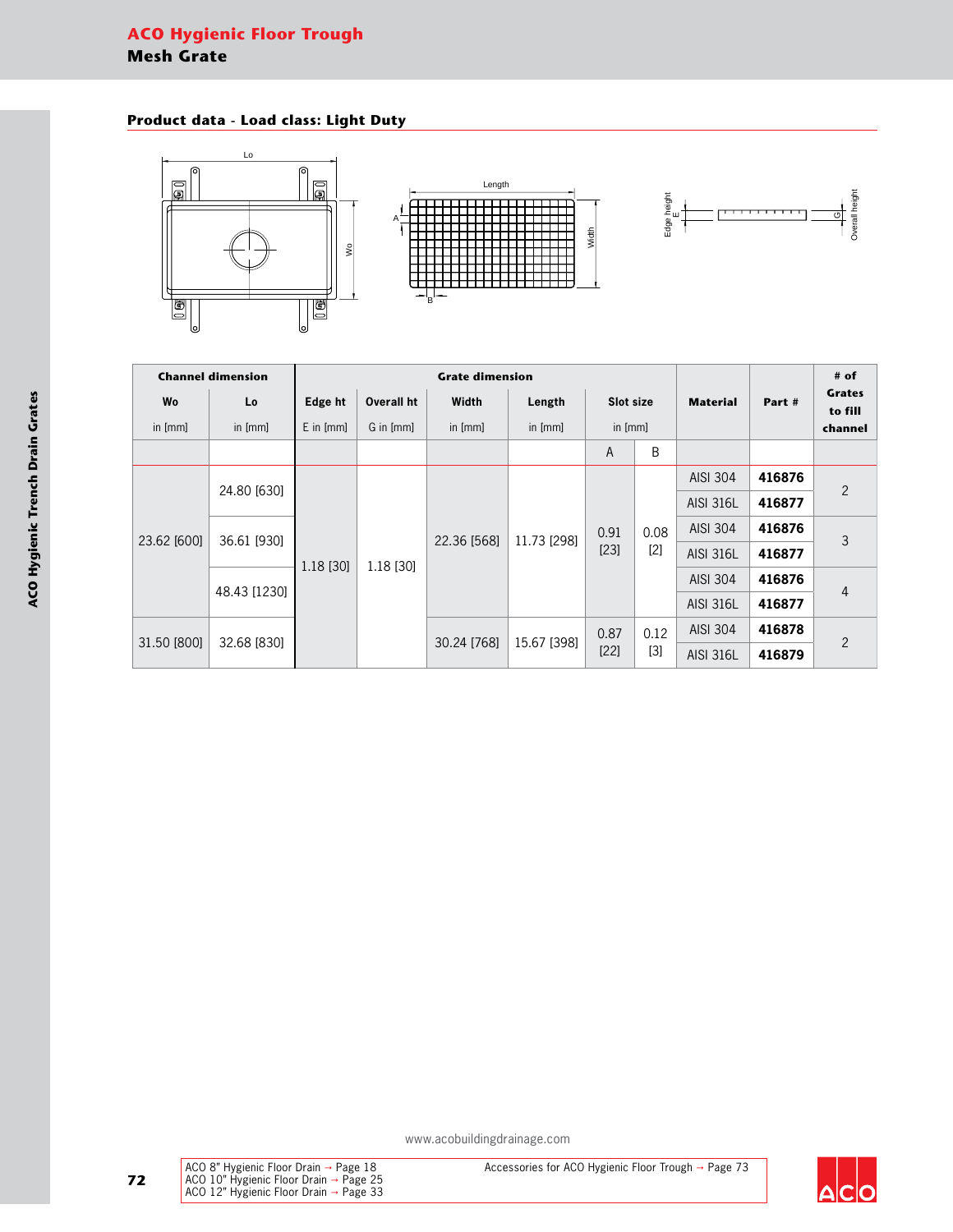### **Product data - Load class: Light Duty**







| <b>Channel dimension</b>   |              | <b>Grate dimension</b> |            |             |             |                |               |                  |        | # of                     |
|----------------------------|--------------|------------------------|------------|-------------|-------------|----------------|---------------|------------------|--------|--------------------------|
| Wo                         | Lo           | <b>Edge ht</b>         | Overall ht | Width       | Length      | Slot size      |               | <b>Material</b>  | Part # | <b>Grates</b><br>to fill |
| in [mm]                    | in [mm]      | $E$ in $[mm]$          | G in [mm]  | in [mm]     | in $[mm]$   | in [mm]        |               |                  |        | channel                  |
|                            |              |                        |            |             |             | A              | B             |                  |        |                          |
| 23.62 [600]<br>31.50 [800] | 24.80 [630]  | 1.18 [30]              | 1.18 [30]  | 22.36 [568] | 11.73 [298] | 0.91<br>$[23]$ | 0.08<br>$[2]$ | <b>AISI 304</b>  | 416876 | 2                        |
|                            |              |                        |            |             |             |                |               | <b>AISI 316L</b> | 416877 |                          |
|                            | 36.61 [930]  |                        |            |             |             |                |               | <b>AISI 304</b>  | 416876 | 3                        |
|                            |              |                        |            |             |             |                |               | <b>AISI 316L</b> | 416877 |                          |
|                            | 48.43 [1230] |                        |            |             |             |                |               | <b>AISI 304</b>  | 416876 | 4<br>2                   |
|                            |              |                        |            |             |             |                |               | <b>AISI 316L</b> | 416877 |                          |
|                            | 32.68 [830]  |                        |            | 30.24 [768] | 15.67 [398] | 0.87<br>$[22]$ | 0.12<br>$[3]$ | <b>AISI 304</b>  | 416878 |                          |
|                            |              |                        |            |             |             |                |               | <b>AISI 316L</b> | 416879 |                          |

www.acobuildingdrainage.com



ACO 12" Hygienic Floor Drain Page 33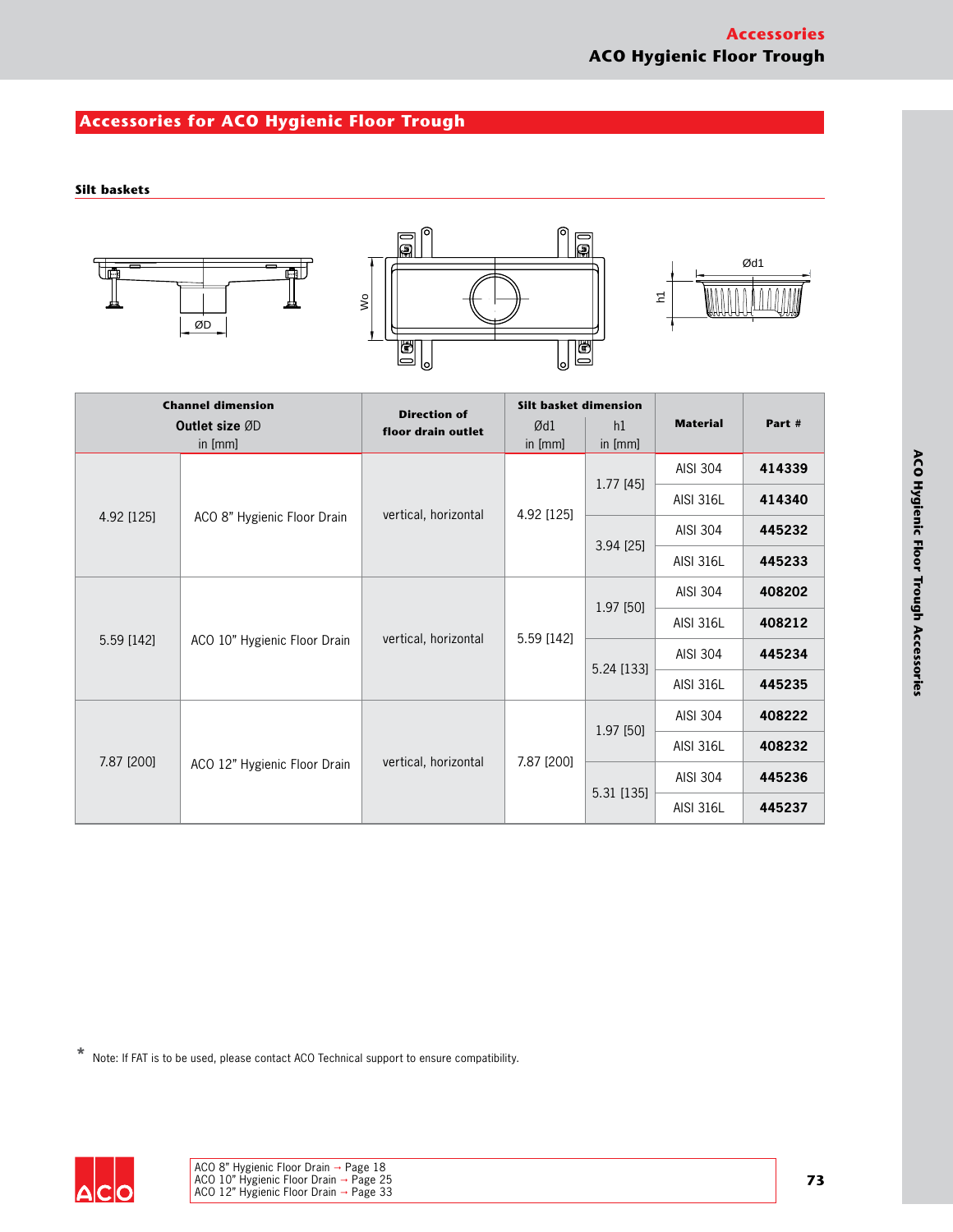# **Accessories for ACO Hygienic Floor Trough**

#### **Silt baskets**







|            | <b>Channel dimension</b>         | <b>Direction of</b>  | <b>Silt basket dimension</b> |               | <b>Material</b>  | Part#  |
|------------|----------------------------------|----------------------|------------------------------|---------------|------------------|--------|
|            | <b>Outlet size ØD</b><br>in [mm] | floor drain outlet   | Ød1<br>in [mm]               | h1<br>in [mm] |                  |        |
| 4.92 [125] | ACO 8" Hygienic Floor Drain      | vertical, horizontal | 4.92 [125]                   | $1.77$ [45]   | AISI 304         | 414339 |
|            |                                  |                      |                              |               | <b>AISI 316L</b> | 414340 |
|            |                                  |                      |                              | 3.94[25]      | AISI 304         | 445232 |
|            |                                  |                      |                              |               | AISI 316L        | 445233 |
| 5.59 [142] | ACO 10" Hygienic Floor Drain     | vertical, horizontal | 5.59 [142]                   | 1.97 [50]     | AISI 304         | 408202 |
|            |                                  |                      |                              |               | <b>AISI 316L</b> | 408212 |
|            |                                  |                      |                              | 5.24 [133]    | AISI 304         | 445234 |
|            |                                  |                      |                              |               | <b>AISI 316L</b> | 445235 |
| 7.87 [200] |                                  | vertical, horizontal | 7.87 [200]                   | 1.97 [50]     | AISI 304         | 408222 |
|            | ACO 12" Hygienic Floor Drain     |                      |                              |               | <b>AISI 316L</b> | 408232 |
|            |                                  |                      |                              | 5.31 [135]    | AISI 304         | 445236 |
|            |                                  |                      |                              |               | <b>AISI 316L</b> | 445237 |

**\*** Note: If FAT is to be used, please contact ACO Technical support to ensure compatibility.